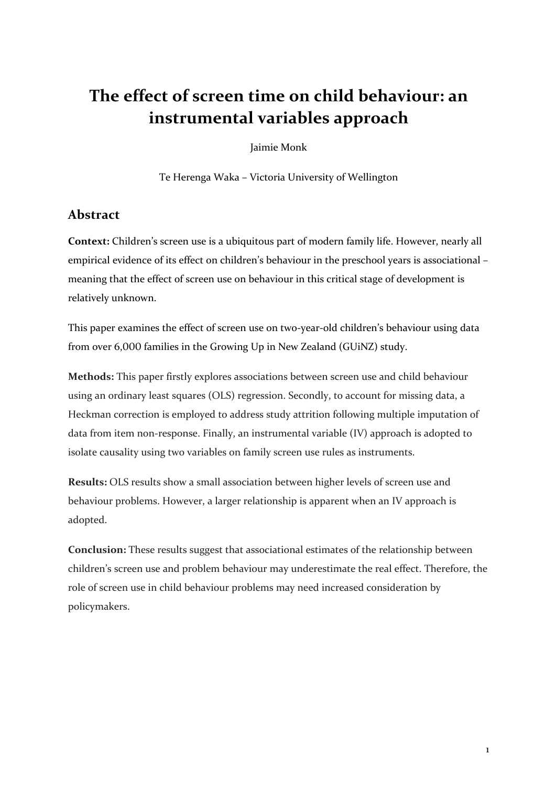## The effect of screen time on child behaviour: an **instrumental variables approach**

Jaimie Monk

Te Herenga Waka - Victoria University of Wellington

### **Abstract**

**Context:** Children's screen use is a ubiquitous part of modern family life. However, nearly all empirical evidence of its effect on children's behaviour in the preschool years is associational meaning that the effect of screen use on behaviour in this critical stage of development is relatively unknown.

This paper examines the effect of screen use on two-year-old children's behaviour using data from over 6,000 families in the Growing Up in New Zealand (GUiNZ) study.

**Methods:** This paper firstly explores associations between screen use and child behaviour using an ordinary least squares (OLS) regression. Secondly, to account for missing data, a Heckman correction is employed to address study attrition following multiple imputation of data from item non-response. Finally, an instrumental variable (IV) approach is adopted to isolate causality using two variables on family screen use rules as instruments.

**Results:** OLS results show a small association between higher levels of screen use and behaviour problems. However, a larger relationship is apparent when an IV approach is adopted.

**Conclusion:** These results suggest that associational estimates of the relationship between children's screen use and problem behaviour may underestimate the real effect. Therefore, the role of screen use in child behaviour problems may need increased consideration by policymakers.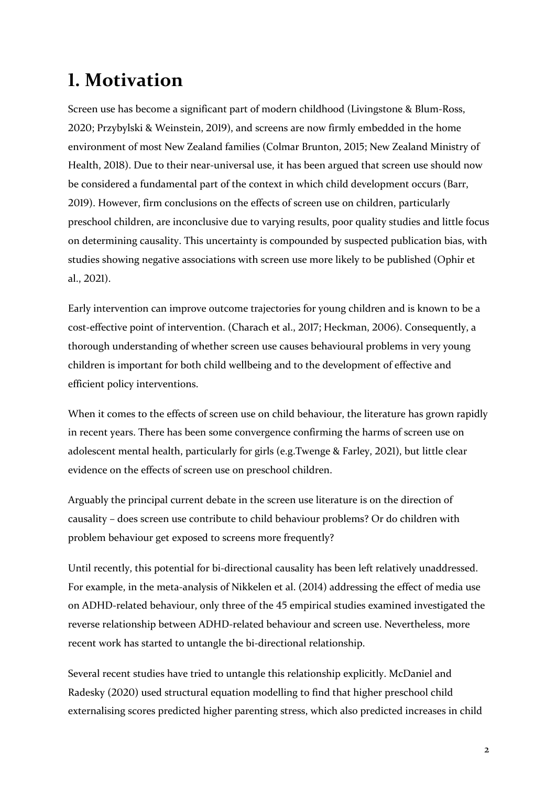## **!. Motivation**

Screen use has become a significant part of modern childhood (Livingstone & Blum-Ross, 2020; Przybylski & Weinstein, 2019), and screens are now firmly embedded in the home environment of most New Zealand families (Colmar Brunton, 2015; New Zealand Ministry of Health, 2018). Due to their near-universal use, it has been argued that screen use should now be considered a fundamental part of the context in which child development occurs (Barr, 2019). However, firm conclusions on the effects of screen use on children, particularly preschool children, are inconclusive due to varying results, poor quality studies and little focus on determining causality. This uncertainty is compounded by suspected publication bias, with studies showing negative associations with screen use more likely to be published (Ophir et al., 2021).

Early intervention can improve outcome trajectories for young children and is known to be a cost-effective point of intervention. (Charach et al., 2017; Heckman, 2006). Consequently, a thorough understanding of whether screen use causes behavioural problems in very young children is important for both child wellbeing and to the development of effective and efficient policy interventions.

When it comes to the effects of screen use on child behaviour, the literature has grown rapidly in recent years. There has been some convergence confirming the harms of screen use on adolescent mental health, particularly for girls (e.g.Twenge & Farley, 2021), but little clear evidence on the effects of screen use on preschool children.

Arguably the principal current debate in the screen use literature is on the direction of causality – does screen use contribute to child behaviour problems? Or do children with problem behaviour get exposed to screens more frequently?

Until recently, this potential for bi-directional causality has been left relatively unaddressed. For example, in the meta-analysis of Nikkelen et al. (2014) addressing the effect of media use on ADHD-related behaviour, only three of the 45 empirical studies examined investigated the reverse relationship between ADHD-related behaviour and screen use. Nevertheless, more recent work has started to untangle the bi-directional relationship.

Several recent studies have tried to untangle this relationship explicitly. McDaniel and Radesky (2020) used structural equation modelling to find that higher preschool child externalising scores predicted higher parenting stress, which also predicted increases in child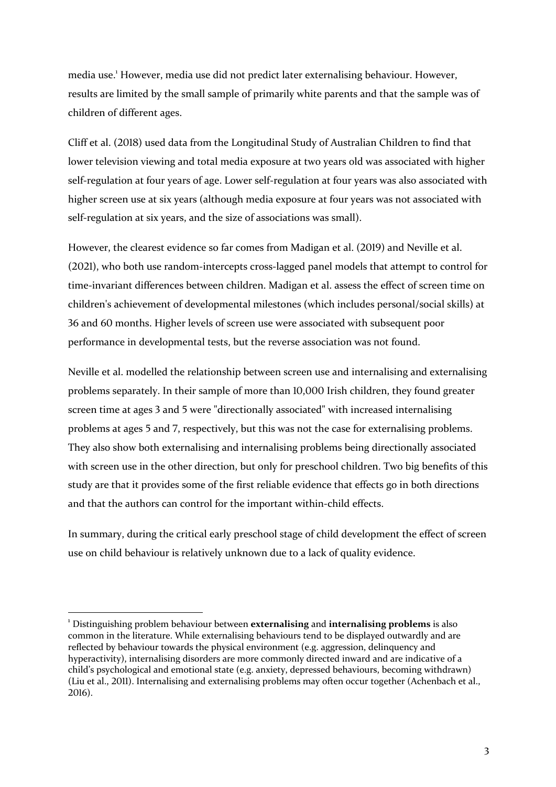media use.<sup>1</sup> However, media use did not predict later externalising behaviour. However, results are limited by the small sample of primarily white parents and that the sample was of children of different ages.

Cliff et al. (2018) used data from the Longitudinal Study of Australian Children to find that lower television viewing and total media exposure at two years old was associated with higher self-regulation at four years of age. Lower self-regulation at four years was also associated with higher screen use at six years (although media exposure at four years was not associated with self-regulation at six years, and the size of associations was small).

However, the clearest evidence so far comes from Madigan et al. (2019) and Neville et al.  $(2021)$ , who both use random-intercepts cross-lagged panel models that attempt to control for time-invariant differences between children. Madigan et al. assess the effect of screen time on children's achievement of developmental milestones (which includes personal/social skills) at 36 and 60 months. Higher levels of screen use were associated with subsequent poor performance in developmental tests, but the reverse association was not found.

Neville et al. modelled the relationship between screen use and internalising and externalising problems separately. In their sample of more than  $10,000$  Irish children, they found greater screen time at ages 3 and 5 were "directionally associated" with increased internalising problems at ages 5 and 7, respectively, but this was not the case for externalising problems. They also show both externalising and internalising problems being directionally associated with screen use in the other direction, but only for preschool children. Two big benefits of this study are that it provides some of the first reliable evidence that effects go in both directions and that the authors can control for the important within-child effects.

In summary, during the critical early preschool stage of child development the effect of screen use on child behaviour is relatively unknown due to a lack of quality evidence.

<sup>&</sup>lt;sup>1</sup> Distinguishing problem behaviour between **externalising** and **internalising problems** is also common in the literature. While externalising behaviours tend to be displayed outwardly and are reflected by behaviour towards the physical environment (e.g. aggression, delinquency and hyperactivity), internalising disorders are more commonly directed inward and are indicative of a child's psychological and emotional state (e.g. anxiety, depressed behaviours, becoming withdrawn) (Liu et al., 2011). Internalising and externalising problems may often occur together (Achenbach et al.,  $2016$ ).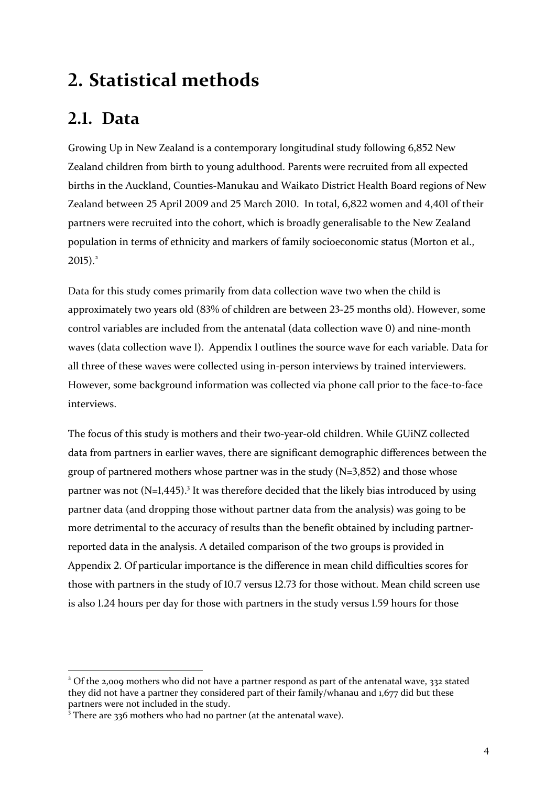## **+. Statistical methods**

## **6.8. Data**

Growing Up in New Zealand is a contemporary longitudinal study following 6,852 New Zealand children from birth to young adulthood. Parents were recruited from all expected births in the Auckland, Counties-Manukau and Waikato District Health Board regions of New Zealand between 25 April 2009 and 25 March 2010. In total,  $6,822$  women and  $4,401$  of their partners were recruited into the cohort, which is broadly generalisable to the New Zealand population in terms of ethnicity and markers of family socioeconomic status (Morton et al.,  $2015$ ).<sup>2</sup>

Data for this study comes primarily from data collection wave two when the child is approximately two years old  $(83%$  of children are between  $23-25$  months old). However, some control variables are included from the antenatal (data collection wave 0) and nine-month waves (data collection wave  $\lambda$ ). Appendix  $\lambda$  outlines the source wave for each variable. Data for all three of these waves were collected using in-person interviews by trained interviewers. However, some background information was collected via phone call prior to the face-to-face interviews. 

The focus of this study is mothers and their two-year-old children. While GUiNZ collected data from partners in earlier waves, there are significant demographic differences between the group of partnered mothers whose partner was in the study  $(N=3,852)$  and those whose partner was not  $(N=1,445)$ .<sup>3</sup> It was therefore decided that the likely bias introduced by using partner data (and dropping those without partner data from the analysis) was going to be more detrimental to the accuracy of results than the benefit obtained by including partnerreported data in the analysis. A detailed comparison of the two groups is provided in Appendix 2. Of particular importance is the difference in mean child difficulties scores for those with partners in the study of  $10.7$  versus  $12.73$  for those without. Mean child screen use is also  $1.24$  hours per day for those with partners in the study versus  $1.59$  hours for those

 $2$  Of the 2,009 mothers who did not have a partner respond as part of the antenatal wave, 332 stated they did not have a partner they considered part of their family/whanau and  $1,677$  did but these partners were not included in the study.

 $3$  There are 336 mothers who had no partner (at the antenatal wave).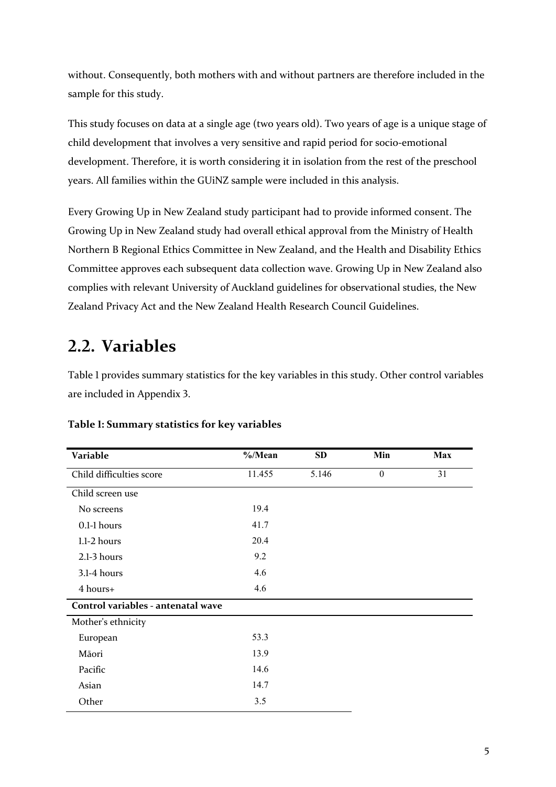without. Consequently, both mothers with and without partners are therefore included in the sample for this study.

This study focuses on data at a single age (two years old). Two years of age is a unique stage of child development that involves a very sensitive and rapid period for socio-emotional development. Therefore, it is worth considering it in isolation from the rest of the preschool years. All families within the GUiNZ sample were included in this analysis.

Every Growing Up in New Zealand study participant had to provide informed consent. The Growing Up in New Zealand study had overall ethical approval from the Ministry of Health Northern B Regional Ethics Committee in New Zealand, and the Health and Disability Ethics Committee approves each subsequent data collection wave. Growing Up in New Zealand also complies with relevant University of Auckland guidelines for observational studies, the New Zealand Privacy Act and the New Zealand Health Research Council Guidelines.

### **6.6. Variables**

Table 1 provides summary statistics for the key variables in this study. Other control variables are included in Appendix 3.

| Variable                           | $\%$ /Mean | <b>SD</b> | Min              | <b>Max</b> |
|------------------------------------|------------|-----------|------------------|------------|
| Child difficulties score           | 11.455     | 5.146     | $\boldsymbol{0}$ | 31         |
| Child screen use                   |            |           |                  |            |
| No screens                         | 19.4       |           |                  |            |
| 0.1-1 hours                        | 41.7       |           |                  |            |
| 1.1-2 hours                        | 20.4       |           |                  |            |
| 2.1-3 hours                        | 9.2        |           |                  |            |
| 3.1-4 hours                        | 4.6        |           |                  |            |
| 4 hours+                           | 4.6        |           |                  |            |
| Control variables - antenatal wave |            |           |                  |            |
| Mother's ethnicity                 |            |           |                  |            |
| European                           | 53.3       |           |                  |            |
| Māori                              | 13.9       |           |                  |            |
| Pacific                            | 14.6       |           |                  |            |
| Asian                              | 14.7       |           |                  |            |
| Other                              | 3.5        |           |                  |            |

### Table 1: Summary statistics for key variables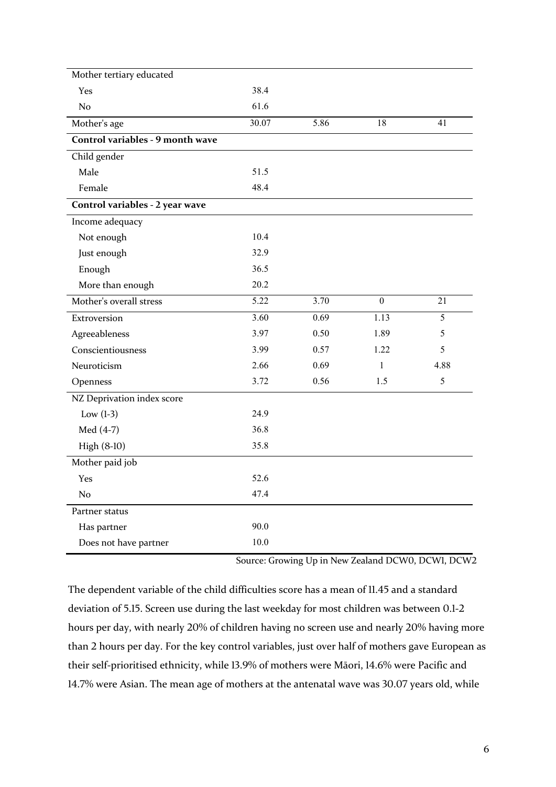| Mother tertiary educated         |       |      |              |      |
|----------------------------------|-------|------|--------------|------|
| Yes                              | 38.4  |      |              |      |
| No                               | 61.6  |      |              |      |
| Mother's age                     | 30.07 | 5.86 | 18           | 41   |
| Control variables - 9 month wave |       |      |              |      |
| Child gender                     |       |      |              |      |
| Male                             | 51.5  |      |              |      |
| Female                           | 48.4  |      |              |      |
| Control variables - 2 year wave  |       |      |              |      |
| Income adequacy                  |       |      |              |      |
| Not enough                       | 10.4  |      |              |      |
| Just enough                      | 32.9  |      |              |      |
| Enough                           | 36.5  |      |              |      |
| More than enough                 | 20.2  |      |              |      |
| Mother's overall stress          | 5.22  | 3.70 | $\mathbf{0}$ | 21   |
| Extroversion                     | 3.60  | 0.69 | 1.13         | 5    |
| Agreeableness                    | 3.97  | 0.50 | 1.89         | 5    |
| Conscientiousness                | 3.99  | 0.57 | 1.22         | 5    |
| Neuroticism                      | 2.66  | 0.69 | 1            | 4.88 |
| Openness                         | 3.72  | 0.56 | 1.5          | 5    |
| NZ Deprivation index score       |       |      |              |      |
| Low $(l-3)$                      | 24.9  |      |              |      |
| Med (4-7)                        | 36.8  |      |              |      |
| High (8-10)                      | 35.8  |      |              |      |
| Mother paid job                  |       |      |              |      |
| Yes                              | 52.6  |      |              |      |
| No                               | 47.4  |      |              |      |
| Partner status                   |       |      |              |      |
| Has partner                      | 90.0  |      |              |      |
| Does not have partner            | 10.0  |      |              |      |

Source: Growing Up in New Zealand DCWO, DCWI, DCW2

The dependent variable of the child difficulties score has a mean of 11.45 and a standard deviation of 5.15. Screen use during the last weekday for most children was between 0.1-2 hours per day, with nearly 20% of children having no screen use and nearly 20% having more than 2 hours per day. For the key control variables, just over half of mothers gave European as their self-prioritised ethnicity, while 13.9% of mothers were Māori, 14.6% were Pacific and 14.7% were Asian. The mean age of mothers at the antenatal wave was 30.07 years old, while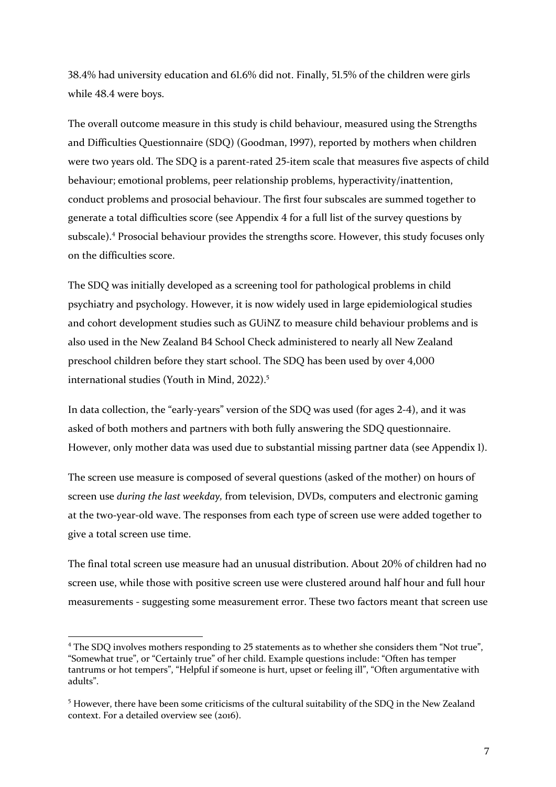38.4% had university education and  $61.6\%$  did not. Finally, 51.5% of the children were girls while 48.4 were boys.

The overall outcome measure in this study is child behaviour, measured using the Strengths and Difficulties Questionnaire (SDQ) (Goodman, 1997), reported by mothers when children were two years old. The SDQ is a parent-rated 25-item scale that measures five aspects of child behaviour; emotional problems, peer relationship problems, hyperactivity/inattention, conduct problems and prosocial behaviour. The first four subscales are summed together to generate a total difficulties score (see Appendix 4 for a full list of the survey questions by subscale).<sup>4</sup> Prosocial behaviour provides the strengths score. However, this study focuses only on the difficulties score. 

The SDO was initially developed as a screening tool for pathological problems in child psychiatry and psychology. However, it is now widely used in large epidemiological studies and cohort development studies such as GUiNZ to measure child behaviour problems and is also used in the New Zealand B4 School Check administered to nearly all New Zealand preschool children before they start school. The SDQ has been used by over 4,000 international studies (Youth in Mind, 2022).<sup>5</sup>

In data collection, the "early-years" version of the SDQ was used (for ages 2-4), and it was asked of both mothers and partners with both fully answering the SDQ questionnaire. However, only mother data was used due to substantial missing partner data (see Appendix 1).

The screen use measure is composed of several questions (asked of the mother) on hours of screen use *during the last weekday*, from television, DVDs, computers and electronic gaming at the two-year-old wave. The responses from each type of screen use were added together to give a total screen use time.

The final total screen use measure had an unusual distribution. About 20% of children had no screen use, while those with positive screen use were clustered around half hour and full hour measurements - suggesting some measurement error. These two factors meant that screen use

<sup>&</sup>lt;sup>4</sup> The SDQ involves mothers responding to 25 statements as to whether she considers them "Not true", "Somewhat true", or "Certainly true" of her child. Example questions include: "Often has temper tantrums or hot tempers", "Helpful if someone is hurt, upset or feeling ill", "Often argumentative with adults". 

<sup>&</sup>lt;sup>5</sup> However, there have been some criticisms of the cultural suitability of the SDQ in the New Zealand context. For a detailed overview see (2016).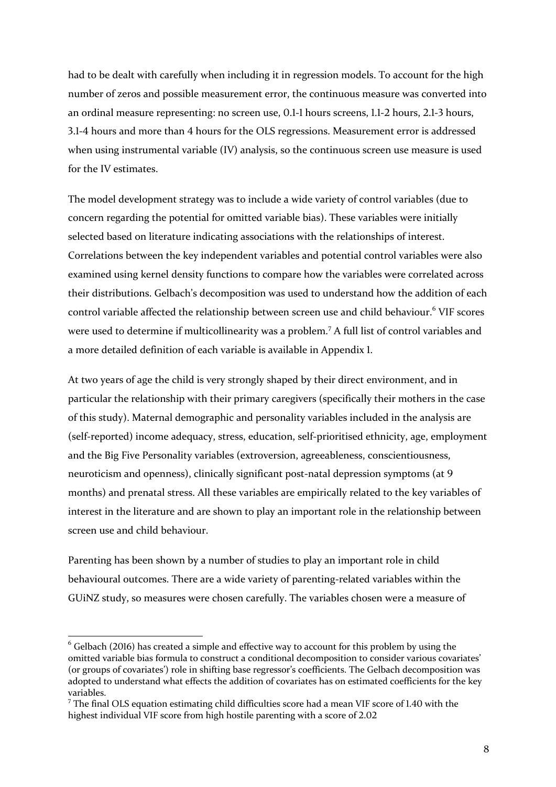had to be dealt with carefully when including it in regression models. To account for the high number of zeros and possible measurement error, the continuous measure was converted into an ordinal measure representing: no screen use, 0.1-1 hours screens, 1.1-2 hours, 2.1-3 hours, 3.1-4 hours and more than 4 hours for the OLS regressions. Measurement error is addressed when using instrumental variable (IV) analysis, so the continuous screen use measure is used for the IV estimates.

The model development strategy was to include a wide variety of control variables (due to concern regarding the potential for omitted variable bias). These variables were initially selected based on literature indicating associations with the relationships of interest. Correlations between the key independent variables and potential control variables were also examined using kernel density functions to compare how the variables were correlated across their distributions. Gelbach's decomposition was used to understand how the addition of each control variable affected the relationship between screen use and child behaviour.<sup>6</sup> VIF scores were used to determine if multicollinearity was a problem.<sup>7</sup> A full list of control variables and a more detailed definition of each variable is available in Appendix 1.

At two years of age the child is very strongly shaped by their direct environment, and in particular the relationship with their primary caregivers (specifically their mothers in the case of this study). Maternal demographic and personality variables included in the analysis are (self-reported) income adequacy, stress, education, self-prioritised ethnicity, age, employment and the Big Five Personality variables (extroversion, agreeableness, conscientiousness, neuroticism and openness), clinically significant post-natal depression symptoms (at 9 months) and prenatal stress. All these variables are empirically related to the key variables of interest in the literature and are shown to play an important role in the relationship between screen use and child behaviour.

Parenting has been shown by a number of studies to play an important role in child behavioural outcomes. There are a wide variety of parenting-related variables within the GUiNZ study, so measures were chosen carefully. The variables chosen were a measure of

 $6$  Gelbach (2016) has created a simple and effective way to account for this problem by using the omitted variable bias formula to construct a conditional decomposition to consider various covariates' (or groups of covariates') role in shifting base regressor's coefficients. The Gelbach decomposition was adopted to understand what effects the addition of covariates has on estimated coefficients for the key variables.

 $7$  The final OLS equation estimating child difficulties score had a mean VIF score of 1.40 with the highest individual VIF score from high hostile parenting with a score of 2.02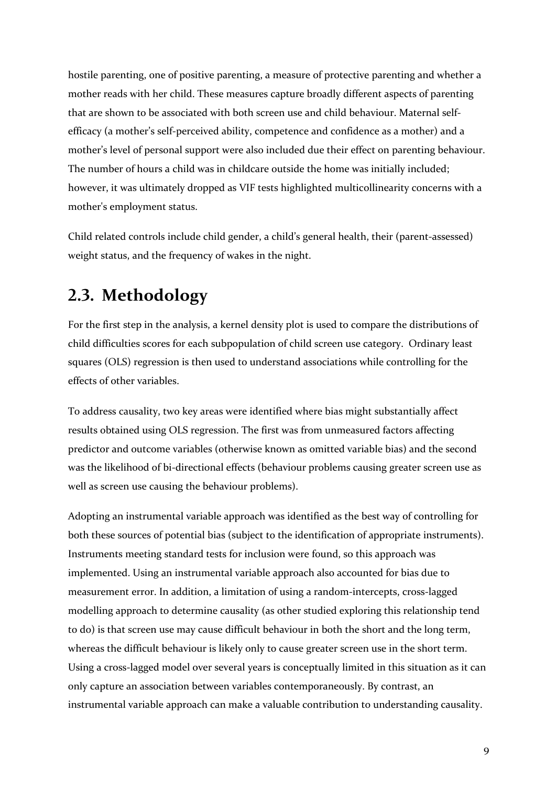hostile parenting, one of positive parenting, a measure of protective parenting and whether a mother reads with her child. These measures capture broadly different aspects of parenting that are shown to be associated with both screen use and child behaviour. Maternal selfefficacy (a mother's self-perceived ability, competence and confidence as a mother) and a mother's level of personal support were also included due their effect on parenting behaviour. The number of hours a child was in childcare outside the home was initially included; however, it was ultimately dropped as VIF tests highlighted multicollinearity concerns with a mother's employment status.

Child related controls include child gender, a child's general health, their (parent-assessed) weight status, and the frequency of wakes in the night.

## **6.;. Methodology**

For the first step in the analysis, a kernel density plot is used to compare the distributions of child difficulties scores for each subpopulation of child screen use category. Ordinary least squares (OLS) regression is then used to understand associations while controlling for the effects of other variables.

To address causality, two key areas were identified where bias might substantially affect results obtained using OLS regression. The first was from unmeasured factors affecting predictor and outcome variables (otherwise known as omitted variable bias) and the second was the likelihood of bi-directional effects (behaviour problems causing greater screen use as well as screen use causing the behaviour problems).

Adopting an instrumental variable approach was identified as the best way of controlling for both these sources of potential bias (subject to the identification of appropriate instruments). Instruments meeting standard tests for inclusion were found, so this approach was implemented. Using an instrumental variable approach also accounted for bias due to measurement error. In addition, a limitation of using a random-intercepts, cross-lagged modelling approach to determine causality (as other studied exploring this relationship tend to do) is that screen use may cause difficult behaviour in both the short and the long term, whereas the difficult behaviour is likely only to cause greater screen use in the short term. Using a cross-lagged model over several years is conceptually limited in this situation as it can only capture an association between variables contemporaneously. By contrast, an instrumental variable approach can make a valuable contribution to understanding causality.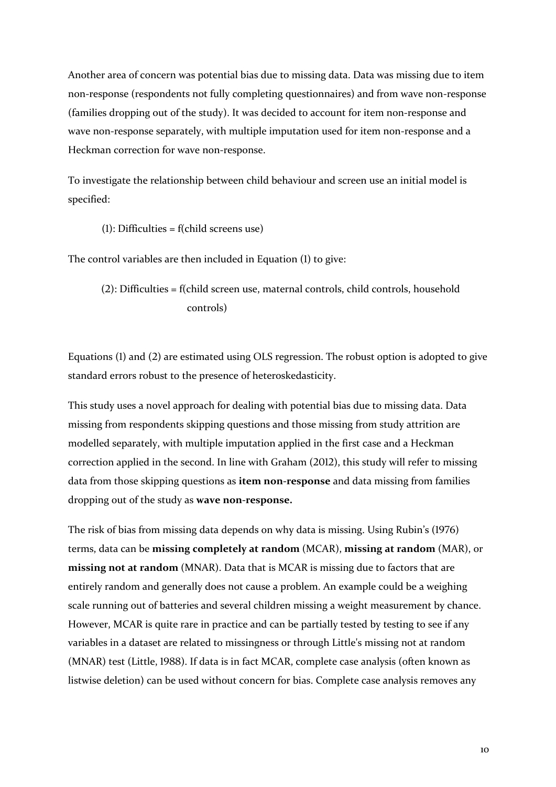Another area of concern was potential bias due to missing data. Data was missing due to item non-response (respondents not fully completing questionnaires) and from wave non-response (families dropping out of the study). It was decided to account for item non-response and wave non-response separately, with multiple imputation used for item non-response and a Heckman correction for wave non-response.

To investigate the relationship between child behaviour and screen use an initial model is specified: 

(1): Difficulties =  $f$ (child screens use)

The control variables are then included in Equation  $(1)$  to give:

 $(2)$ : Difficulties = f(child screen use, maternal controls, child controls, household controls)

Equations  $(1)$  and  $(2)$  are estimated using OLS regression. The robust option is adopted to give standard errors robust to the presence of heteroskedasticity.

This study uses a novel approach for dealing with potential bias due to missing data. Data missing from respondents skipping questions and those missing from study attrition are modelled separately, with multiple imputation applied in the first case and a Heckman correction applied in the second. In line with Graham (2012), this study will refer to missing data from those skipping questions as **item non-response** and data missing from families dropping out of the study as wave non-response.

The risk of bias from missing data depends on why data is missing. Using Rubin's (1976) terms, data can be missing completely at random (MCAR), missing at random (MAR), or **missing not at random** (MNAR). Data that is MCAR is missing due to factors that are entirely random and generally does not cause a problem. An example could be a weighing scale running out of batteries and several children missing a weight measurement by chance. However, MCAR is quite rare in practice and can be partially tested by testing to see if any variables in a dataset are related to missingness or through Little's missing not at random (MNAR) test (Little, 1988). If data is in fact MCAR, complete case analysis (often known as listwise deletion) can be used without concern for bias. Complete case analysis removes any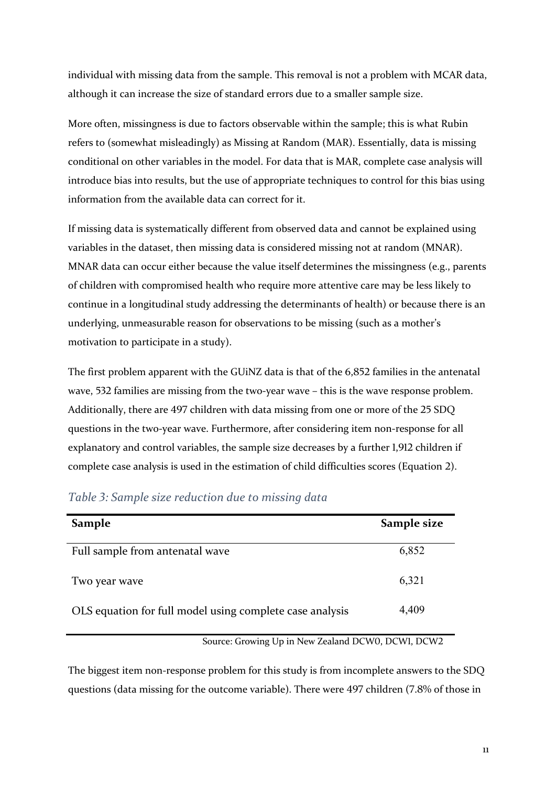individual with missing data from the sample. This removal is not a problem with MCAR data, although it can increase the size of standard errors due to a smaller sample size.

More often, missingness is due to factors observable within the sample; this is what Rubin refers to (somewhat misleadingly) as Missing at Random (MAR). Essentially, data is missing conditional on other variables in the model. For data that is MAR, complete case analysis will introduce bias into results, but the use of appropriate techniques to control for this bias using information from the available data can correct for it.

If missing data is systematically different from observed data and cannot be explained using variables in the dataset, then missing data is considered missing not at random (MNAR). MNAR data can occur either because the value itself determines the missingness (e.g., parents of children with compromised health who require more attentive care may be less likely to continue in a longitudinal study addressing the determinants of health) or because there is an underlying, unmeasurable reason for observations to be missing (such as a mother's motivation to participate in a study).

The first problem apparent with the GUINZ data is that of the  $6,852$  families in the antenatal wave,  $532$  families are missing from the two-year wave – this is the wave response problem. Additionally, there are 497 children with data missing from one or more of the 25 SDQ questions in the two-year wave. Furthermore, after considering item non-response for all explanatory and control variables, the sample size decreases by a further 1,912 children if complete case analysis is used in the estimation of child difficulties scores (Equation 2).

| Sample                                                   | Sample size |
|----------------------------------------------------------|-------------|
| Full sample from antenatal wave                          | 6,852       |
| Two year wave                                            | 6,321       |
| OLS equation for full model using complete case analysis | 4,409       |

### *Table ': Sample size reduction due to missing data*

Source: Growing Up in New Zealand DCWO, DCWI, DCW2

The biggest item non-response problem for this study is from incomplete answers to the SDQ questions (data missing for the outcome variable). There were 497 children (7.8% of those in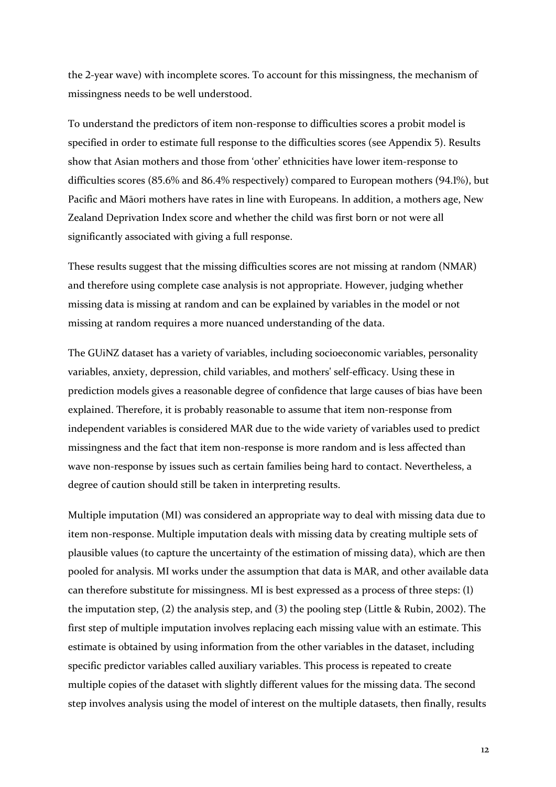the 2-year wave) with incomplete scores. To account for this missingness, the mechanism of missingness needs to be well understood.

To understand the predictors of item non-response to difficulties scores a probit model is specified in order to estimate full response to the difficulties scores (see Appendix 5). Results show that Asian mothers and those from 'other' ethnicities have lower item-response to difficulties scores  $(85.6\%$  and  $86.4\%$  respectively) compared to European mothers  $(94.1\%)$ , but Pacific and Māori mothers have rates in line with Europeans. In addition, a mothers age, New Zealand Deprivation Index score and whether the child was first born or not were all significantly associated with giving a full response.

These results suggest that the missing difficulties scores are not missing at random (NMAR) and therefore using complete case analysis is not appropriate. However, judging whether missing data is missing at random and can be explained by variables in the model or not missing at random requires a more nuanced understanding of the data.

The GUiNZ dataset has a variety of variables, including socioeconomic variables, personality variables, anxiety, depression, child variables, and mothers' self-efficacy. Using these in prediction models gives a reasonable degree of confidence that large causes of bias have been explained. Therefore, it is probably reasonable to assume that item non-response from independent variables is considered MAR due to the wide variety of variables used to predict missingness and the fact that item non-response is more random and is less affected than wave non-response by issues such as certain families being hard to contact. Nevertheless, a degree of caution should still be taken in interpreting results.

Multiple imputation (MI) was considered an appropriate way to deal with missing data due to item non-response. Multiple imputation deals with missing data by creating multiple sets of plausible values (to capture the uncertainty of the estimation of missing data), which are then pooled for analysis. MI works under the assumption that data is MAR, and other available data can therefore substitute for missingness. MI is best expressed as a process of three steps: (1) the imputation step,  $(2)$  the analysis step, and  $(3)$  the pooling step (Little & Rubin, 2002). The first step of multiple imputation involves replacing each missing value with an estimate. This estimate is obtained by using information from the other variables in the dataset, including specific predictor variables called auxiliary variables. This process is repeated to create multiple copies of the dataset with slightly different values for the missing data. The second step involves analysis using the model of interest on the multiple datasets, then finally, results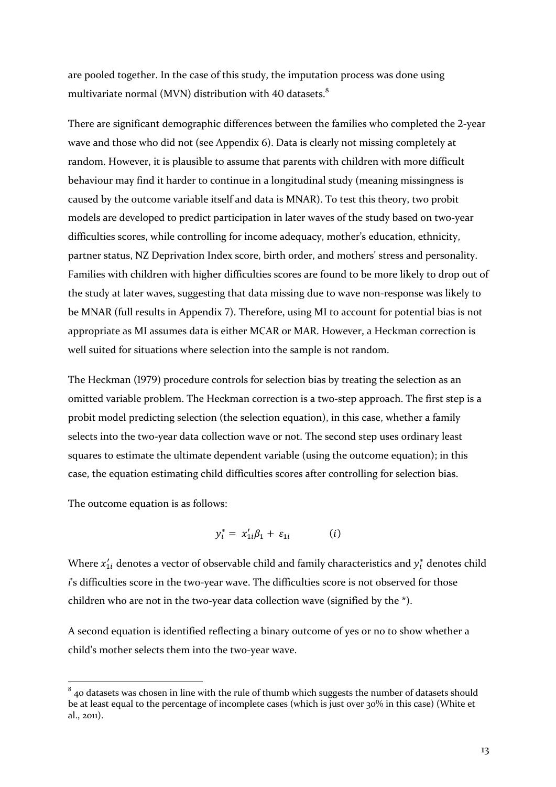are pooled together. In the case of this study, the imputation process was done using multivariate normal (MVN) distribution with 40 datasets.<sup>8</sup>

There are significant demographic differences between the families who completed the 2-year wave and those who did not (see Appendix 6). Data is clearly not missing completely at random. However, it is plausible to assume that parents with children with more difficult behaviour may find it harder to continue in a longitudinal study (meaning missingness is caused by the outcome variable itself and data is MNAR). To test this theory, two probit models are developed to predict participation in later waves of the study based on two-year difficulties scores, while controlling for income adequacy, mother's education, ethnicity, partner status, NZ Deprivation Index score, birth order, and mothers' stress and personality. Families with children with higher difficulties scores are found to be more likely to drop out of the study at later waves, suggesting that data missing due to wave non-response was likely to be MNAR (full results in Appendix 7). Therefore, using MI to account for potential bias is not appropriate as MI assumes data is either MCAR or MAR. However, a Heckman correction is well suited for situations where selection into the sample is not random.

The Heckman (1979) procedure controls for selection bias by treating the selection as an omitted variable problem. The Heckman correction is a two-step approach. The first step is a probit model predicting selection (the selection equation), in this case, whether a family selects into the two-year data collection wave or not. The second step uses ordinary least squares to estimate the ultimate dependent variable (using the outcome equation); in this case, the equation estimating child difficulties scores after controlling for selection bias.

The outcome equation is as follows:

$$
y_i^* = x_{1i}'\beta_1 + \varepsilon_{1i} \qquad (i)
$$

Where  $x_{1i}^{\prime}$  denotes a vector of observable child and family characteristics and  $y_i^{\ast}$  denotes child *i*'s difficulties score in the two-year wave. The difficulties score is not observed for those children who are not in the two-year data collection wave (signified by the  $*$ ).

A second equation is identified reflecting a binary outcome of yes or no to show whether a child's mother selects them into the two-year wave.

 $8$  40 datasets was chosen in line with the rule of thumb which suggests the number of datasets should be at least equal to the percentage of incomplete cases (which is just over 30% in this case) (White et al., 2011).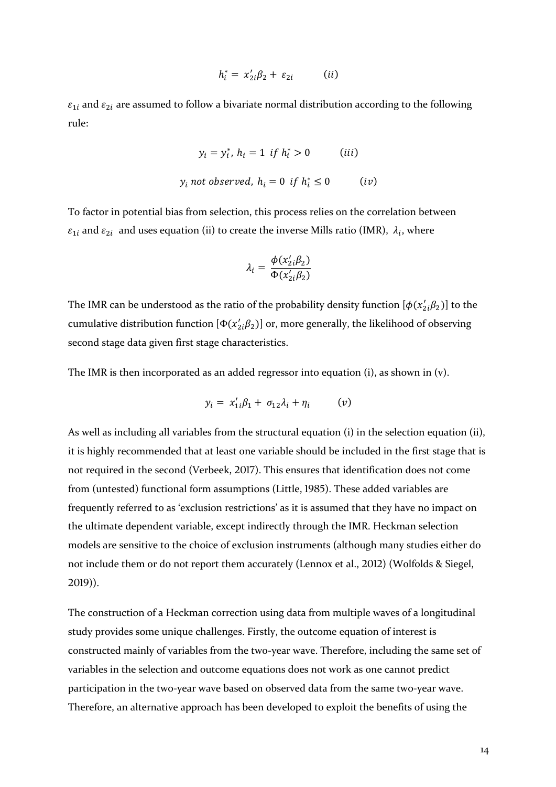$$
h_i^* = x_{2i}'\beta_2 + \varepsilon_{2i} \qquad (ii)
$$

 $\varepsilon_{1i}$  and  $\varepsilon_{2i}$  are assumed to follow a bivariate normal distribution according to the following rule:

$$
y_i = y_i^*, h_i = 1 \text{ if } h_i^* > 0 \qquad (iii)
$$
  

$$
y_i \text{ not observed, } h_i = 0 \text{ if } h_i^* \le 0 \qquad (iv)
$$

To factor in potential bias from selection, this process relies on the correlation between  $\varepsilon_{1i}$  and  $\varepsilon_{2i}$  and uses equation (ii) to create the inverse Mills ratio (IMR),  $\lambda_i$ , where

$$
\lambda_i = \frac{\phi(x_2'_{i}\beta_2)}{\Phi(x_2'_{i}\beta_2)}
$$

The IMR can be understood as the ratio of the probability density function  $[\phi(x'_{2i}\beta_2)]$  to the cumulative distribution function  $[\Phi(x'_{2i}\beta_2)]$  or, more generally, the likelihood of observing second stage data given first stage characteristics.

The IMR is then incorporated as an added regressor into equation  $(i)$ , as shown in  $(v)$ .

$$
y_i = x_{1i}'\beta_1 + \sigma_{12}\lambda_i + \eta_i \qquad (v)
$$

As well as including all variables from the structural equation (i) in the selection equation (ii), it is highly recommended that at least one variable should be included in the first stage that is not required in the second (Verbeek, 2017). This ensures that identification does not come from (untested) functional form assumptions (Little, 1985). These added variables are frequently referred to as 'exclusion restrictions' as it is assumed that they have no impact on the ultimate dependent variable, except indirectly through the IMR. Heckman selection models are sensitive to the choice of exclusion instruments (although many studies either do not include them or do not report them accurately (Lennox et al., 2012) (Wolfolds & Siegel,  $2019$ ).

The construction of a Heckman correction using data from multiple waves of a longitudinal study provides some unique challenges. Firstly, the outcome equation of interest is constructed mainly of variables from the two-year wave. Therefore, including the same set of variables in the selection and outcome equations does not work as one cannot predict participation in the two-year wave based on observed data from the same two-year wave. Therefore, an alternative approach has been developed to exploit the benefits of using the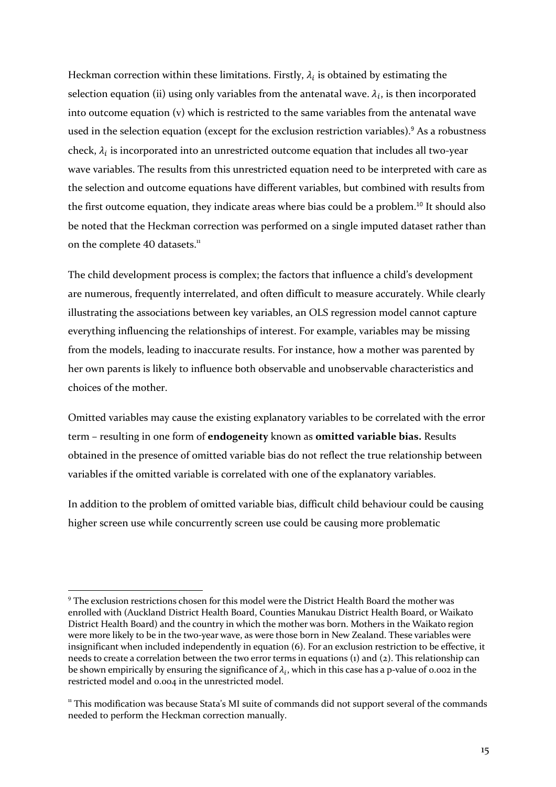Heckman correction within these limitations. Firstly,  $\lambda_i$  is obtained by estimating the selection equation (ii) using only variables from the antenatal wave.  $\lambda_i$ , is then incorporated into outcome equation  $(v)$  which is restricted to the same variables from the antenatal wave used in the selection equation (except for the exclusion restriction variables).<sup>9</sup> As a robustness check,  $\lambda_i$  is incorporated into an unrestricted outcome equation that includes all two-year wave variables. The results from this unrestricted equation need to be interpreted with care as the selection and outcome equations have different variables, but combined with results from the first outcome equation, they indicate areas where bias could be a problem.<sup>10</sup> It should also be noted that the Heckman correction was performed on a single imputed dataset rather than on the complete 40 datasets.<sup>11</sup>

The child development process is complex; the factors that influence a child's development are numerous, frequently interrelated, and often difficult to measure accurately. While clearly illustrating the associations between key variables, an OLS regression model cannot capture everything influencing the relationships of interest. For example, variables may be missing from the models, leading to inaccurate results. For instance, how a mother was parented by her own parents is likely to influence both observable and unobservable characteristics and choices of the mother.

Omitted variables may cause the existing explanatory variables to be correlated with the error term - resulting in one form of *endogeneity* known as **omitted variable bias**. Results obtained in the presence of omitted variable bias do not reflect the true relationship between variables if the omitted variable is correlated with one of the explanatory variables.

In addition to the problem of omitted variable bias, difficult child behaviour could be causing higher screen use while concurrently screen use could be causing more problematic

 $9$  The exclusion restrictions chosen for this model were the District Health Board the mother was enrolled with (Auckland District Health Board, Counties Manukau District Health Board, or Waikato District Health Board) and the country in which the mother was born. Mothers in the Waikato region were more likely to be in the two-year wave, as were those born in New Zealand. These variables were insignificant when included independently in equation  $(6)$ . For an exclusion restriction to be effective, it needs to create a correlation between the two error terms in equations  $(i)$  and  $(2)$ . This relationship can be shown empirically by ensuring the significance of  $\lambda_i$ , which in this case has a p-value of 0.002 in the restricted model and 0.004 in the unrestricted model.

 $11$  This modification was because Stata's MI suite of commands did not support several of the commands needed to perform the Heckman correction manually.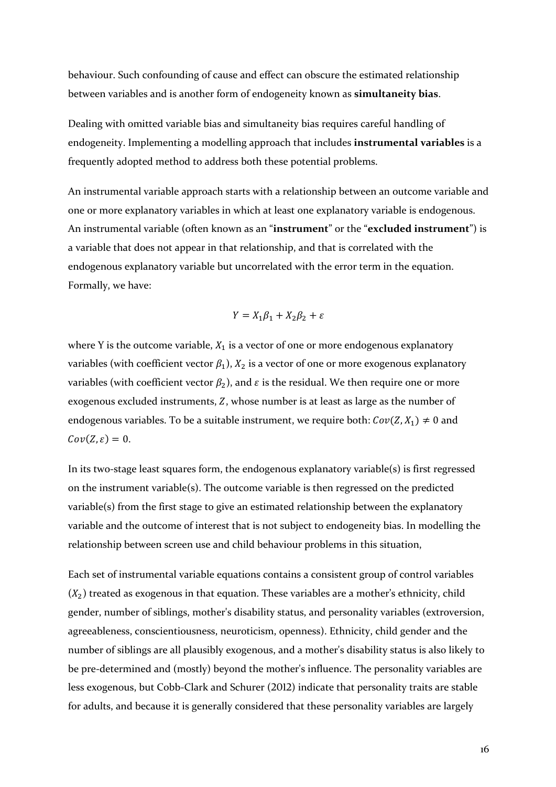behaviour. Such confounding of cause and effect can obscure the estimated relationship between variables and is another form of endogeneity known as **simultaneity bias**.

Dealing with omitted variable bias and simultaneity bias requires careful handling of endogeneity. Implementing a modelling approach that includes **instrumental variables** is a frequently adopted method to address both these potential problems.

An instrumental variable approach starts with a relationship between an outcome variable and one or more explanatory variables in which at least one explanatory variable is endogenous. An instrumental variable (often known as an "instrument" or the "excluded instrument") is a variable that does not appear in that relationship, and that is correlated with the endogenous explanatory variable but uncorrelated with the error term in the equation. Formally, we have:

$$
Y = X_1 \beta_1 + X_2 \beta_2 + \varepsilon
$$

where Y is the outcome variable,  $X_1$  is a vector of one or more endogenous explanatory variables (with coefficient vector  $\beta_1$ ),  $X_2$  is a vector of one or more exogenous explanatory variables (with coefficient vector  $\beta_2$ ), and  $\varepsilon$  is the residual. We then require one or more exogenous excluded instruments, Z, whose number is at least as large as the number of endogenous variables. To be a suitable instrument, we require both:  $Cov(Z, X_1) \neq 0$  and  $Cov(Z, \varepsilon) = 0.$ 

In its two-stage least squares form, the endogenous explanatory variable(s) is first regressed on the instrument variable(s). The outcome variable is then regressed on the predicted variable(s) from the first stage to give an estimated relationship between the explanatory variable and the outcome of interest that is not subject to endogeneity bias. In modelling the relationship between screen use and child behaviour problems in this situation,

Each set of instrumental variable equations contains a consistent group of control variables  $(X_2)$  treated as exogenous in that equation. These variables are a mother's ethnicity, child gender, number of siblings, mother's disability status, and personality variables (extroversion, agreeableness, conscientiousness, neuroticism, openness). Ethnicity, child gender and the number of siblings are all plausibly exogenous, and a mother's disability status is also likely to be pre-determined and (mostly) beyond the mother's influence. The personality variables are less exogenous, but Cobb-Clark and Schurer (2012) indicate that personality traits are stable for adults, and because it is generally considered that these personality variables are largely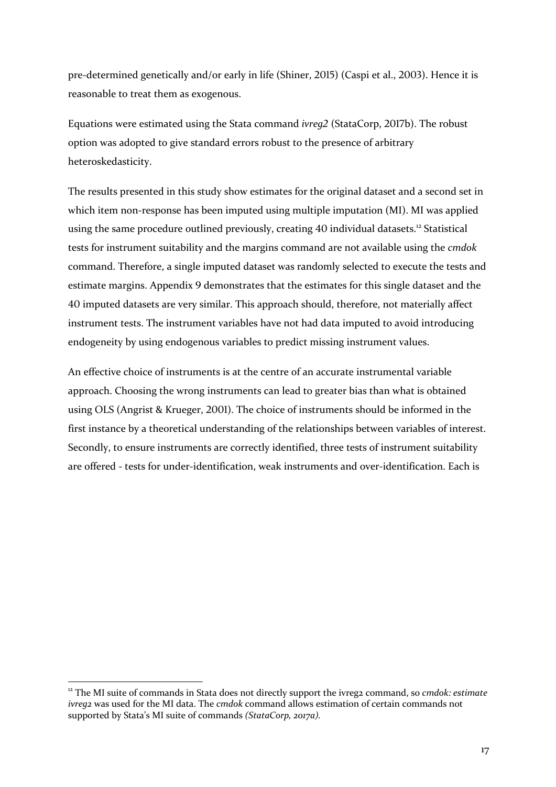pre-determined genetically and/or early in life (Shiner, 2015) (Caspi et al., 2003). Hence it is reasonable to treat them as exogenous.

Equations were estimated using the Stata command *ivreq2* (StataCorp, 2017b). The robust option was adopted to give standard errors robust to the presence of arbitrary heteroskedasticity. 

The results presented in this study show estimates for the original dataset and a second set in which item non-response has been imputed using multiple imputation (MI). MI was applied using the same procedure outlined previously, creating 40 individual datasets.<sup>12</sup> Statistical tests for instrument suitability and the margins command are not available using the *cmdok* command. Therefore, a single imputed dataset was randomly selected to execute the tests and estimate margins. Appendix 9 demonstrates that the estimates for this single dataset and the 40 imputed datasets are very similar. This approach should, therefore, not materially affect instrument tests. The instrument variables have not had data imputed to avoid introducing endogeneity by using endogenous variables to predict missing instrument values.

An effective choice of instruments is at the centre of an accurate instrumental variable approach. Choosing the wrong instruments can lead to greater bias than what is obtained using OLS (Angrist & Krueger, 2001). The choice of instruments should be informed in the first instance by a theoretical understanding of the relationships between variables of interest. Secondly, to ensure instruments are correctly identified, three tests of instrument suitability are offered - tests for under-identification, weak instruments and over-identification. Each is

 $12$  The MI suite of commands in Stata does not directly support the ivreg2 command, so *cmdok: estimate ivreg2* was used for the MI data. The *cmdok* command allows estimation of certain commands not supported by Stata's MI suite of commands (StataCorp, 2017a).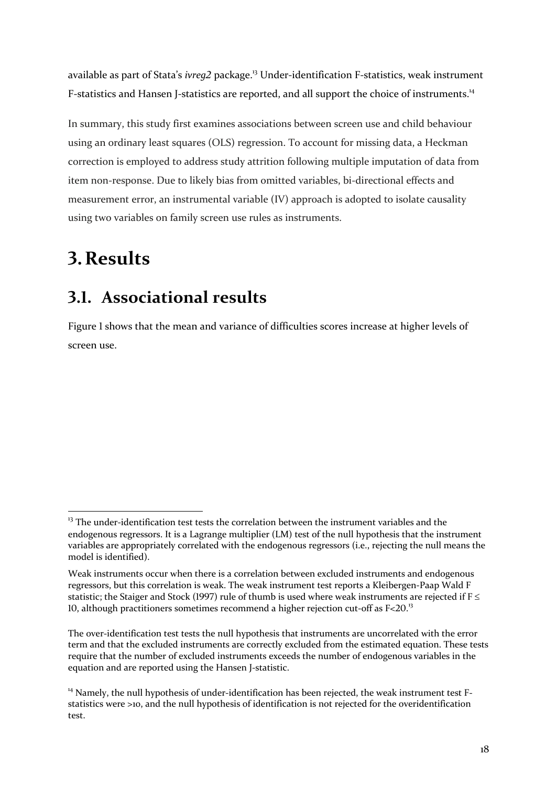available as part of Stata's *ivreg2* package.<sup>13</sup> Under-identification F-statistics, weak instrument F-statistics and Hansen J-statistics are reported, and all support the choice of instruments.<sup>14</sup>

In summary, this study first examines associations between screen use and child behaviour using an ordinary least squares (OLS) regression. To account for missing data, a Heckman correction is employed to address study attrition following multiple imputation of data from item non-response. Due to likely bias from omitted variables, bi-directional effects and measurement error, an instrumental variable (IV) approach is adopted to isolate causality using two variables on family screen use rules as instruments.

## **4.Results**

## **;.8. Associational results**

Figure 1 shows that the mean and variance of difficulties scores increase at higher levels of screen use.

 $13$  The under-identification test tests the correlation between the instrument variables and the endogenous regressors. It is a Lagrange multiplier (LM) test of the null hypothesis that the instrument variables are appropriately correlated with the endogenous regressors (i.e., rejecting the null means the model is identified).

Weak instruments occur when there is a correlation between excluded instruments and endogenous regressors, but this correlation is weak. The weak instrument test reports a Kleibergen-Paap Wald F statistic; the Staiger and Stock (1997) rule of thumb is used where weak instruments are rejected if  $F \leq$ 10, although practitioners sometimes recommend a higher rejection cut-off as  $F<20.^{13}$ .

The over-identification test tests the null hypothesis that instruments are uncorrelated with the error term and that the excluded instruments are correctly excluded from the estimated equation. These tests require that the number of excluded instruments exceeds the number of endogenous variables in the equation and are reported using the Hansen J-statistic.

 $14$  Namely, the null hypothesis of under-identification has been rejected, the weak instrument test Fstatistics were  $\geq$ 10, and the null hypothesis of identification is not rejected for the overidentification test.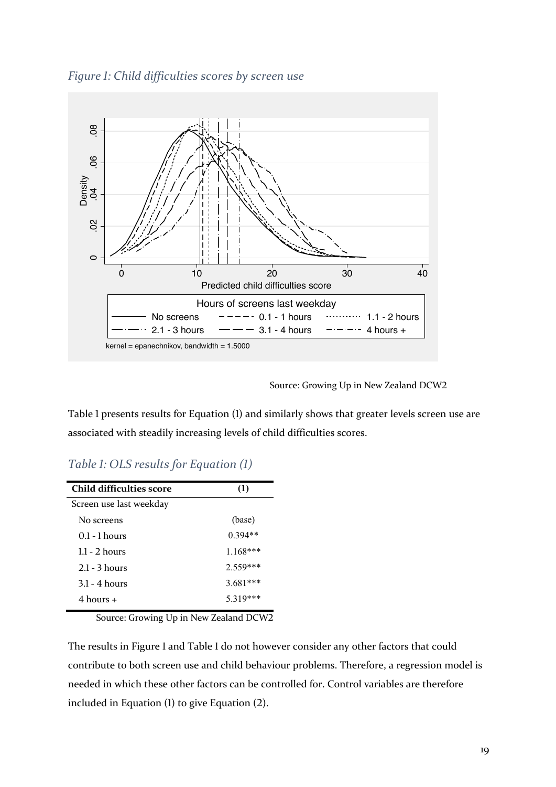



Source: Growing Up in New Zealand DCW2

Table 1 presents results for Equation (1) and similarly shows that greater levels screen use are associated with steadily increasing levels of child difficulties scores.

*Table 1: OLS results for Equation (1)* 

| Child difficulties score | (1)        |
|--------------------------|------------|
| Screen use last weekday  |            |
| No screens               | (base)     |
| $0.1 - 1$ hours          | $0.394**$  |
| $1.1 - 2$ hours          | $1.168***$ |
| $2.1 - 3$ hours          | $2.559***$ |
| $3.1 - 4$ hours          | $3.681***$ |
| $4 \text{ hours} +$      | 5.319***   |

Source: Growing Up in New Zealand DCW2

The results in Figure 1 and Table 1 do not however consider any other factors that could contribute to both screen use and child behaviour problems. Therefore, a regression model is needed in which these other factors can be controlled for. Control variables are therefore included in Equation  $(1)$  to give Equation  $(2)$ .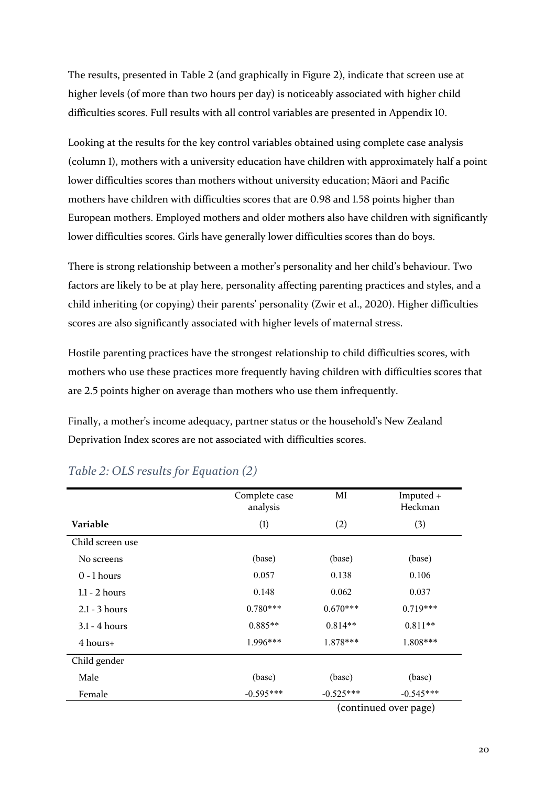The results, presented in Table 2 (and graphically in Figure 2), indicate that screen use at higher levels (of more than two hours per day) is noticeably associated with higher child difficulties scores. Full results with all control variables are presented in Appendix 10.

Looking at the results for the key control variables obtained using complete case analysis (column 1), mothers with a university education have children with approximately half a point lower difficulties scores than mothers without university education; Māori and Pacific mothers have children with difficulties scores that are 0.98 and 1.58 points higher than European mothers. Employed mothers and older mothers also have children with significantly lower difficulties scores. Girls have generally lower difficulties scores than do boys.

There is strong relationship between a mother's personality and her child's behaviour. Two factors are likely to be at play here, personality affecting parenting practices and styles, and a child inheriting (or copying) their parents' personality (Zwir et al., 2020). Higher difficulties scores are also significantly associated with higher levels of maternal stress.

Hostile parenting practices have the strongest relationship to child difficulties scores, with mothers who use these practices more frequently having children with difficulties scores that are 2.5 points higher on average than mothers who use them infrequently.

Finally, a mother's income adequacy, partner status or the household's New Zealand Deprivation Index scores are not associated with difficulties scores.

|                  | Complete case<br>analysis | MI          | Imputed +<br>Heckman  |
|------------------|---------------------------|-------------|-----------------------|
| <b>Variable</b>  | (1)                       | (2)         | (3)                   |
| Child screen use |                           |             |                       |
| No screens       | (base)                    | (base)      | (base)                |
| $0 - 1$ hours    | 0.057                     | 0.138       | 0.106                 |
| $1.1 - 2$ hours  | 0.148                     | 0.062       | 0.037                 |
| $2.1 - 3$ hours  | $0.780***$                | $0.670***$  | $0.719***$            |
| $3.1 - 4$ hours  | $0.885**$                 | $0.814**$   | $0.811**$             |
| 4 hours+         | $1.996***$                | 1.878***    | 1.808***              |
| Child gender     |                           |             |                       |
| Male             | (base)                    | (base)      | (base)                |
| Female           | $-0.595***$               | $-0.525***$ | $-0.545***$           |
|                  |                           |             | (continued over page) |

### *Table 2: OLS results for Equation (2)*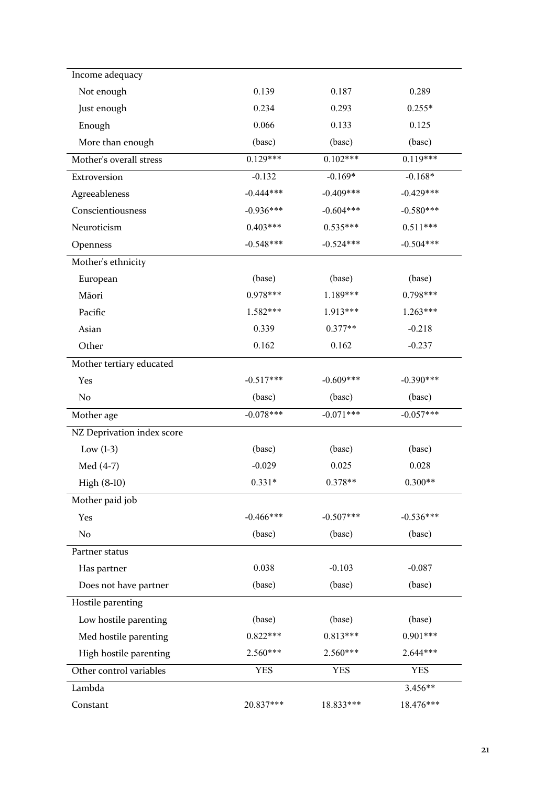| Income adequacy            |             |             |             |
|----------------------------|-------------|-------------|-------------|
| Not enough                 | 0.139       | 0.187       | 0.289       |
| Just enough                | 0.234       | 0.293       | $0.255*$    |
| Enough                     | 0.066       | 0.133       | 0.125       |
| More than enough           | (base)      | (base)      | (base)      |
| Mother's overall stress    | $0.129***$  | $0.102***$  | $0.119***$  |
| Extroversion               | $-0.132$    | $-0.169*$   | $-0.168*$   |
| Agreeableness              | $-0.444***$ | $-0.409***$ | $-0.429***$ |
| Conscientiousness          | $-0.936***$ | $-0.604***$ | $-0.580***$ |
| Neuroticism                | $0.403***$  | $0.535***$  | $0.511***$  |
| Openness                   | $-0.548***$ | $-0.524***$ | $-0.504***$ |
| Mother's ethnicity         |             |             |             |
| European                   | (base)      | (base)      | (base)      |
| Māori                      | $0.978***$  | 1.189***    | $0.798***$  |
| Pacific                    | 1.582***    | 1.913***    | 1.263***    |
| Asian                      | 0.339       | $0.377**$   | $-0.218$    |
| Other                      | 0.162       | 0.162       | $-0.237$    |
| Mother tertiary educated   |             |             |             |
| Yes                        | $-0.517***$ | $-0.609***$ | $-0.390***$ |
| No                         | (base)      | (base)      | (base)      |
| Mother age                 | $-0.078***$ | $-0.071***$ | $-0.057***$ |
| NZ Deprivation index score |             |             |             |
| Low $(1-3)$                | (base)      | (base)      | (base)      |
| Med (4-7)                  | $-0.029$    | 0.025       | 0.028       |
| High (8-10)                | $0.331*$    | $0.378**$   | $0.300**$   |
| Mother paid job            |             |             |             |
| Yes                        | $-0.466***$ | $-0.507***$ | $-0.536***$ |
| No                         | (base)      | (base)      | (base)      |
| Partner status             |             |             |             |
| Has partner                | 0.038       | $-0.103$    | $-0.087$    |
| Does not have partner      | (base)      | (base)      | (base)      |
| Hostile parenting          |             |             |             |
| Low hostile parenting      | (base)      | (base)      | (base)      |
| Med hostile parenting      | $0.822***$  | $0.813***$  | $0.901***$  |
| High hostile parenting     | 2.560***    | 2.560***    | 2.644***    |
| Other control variables    | <b>YES</b>  | <b>YES</b>  | <b>YES</b>  |
| Lambda                     |             |             | 3.456**     |
| Constant                   | 20.837***   | 18.833***   | 18.476***   |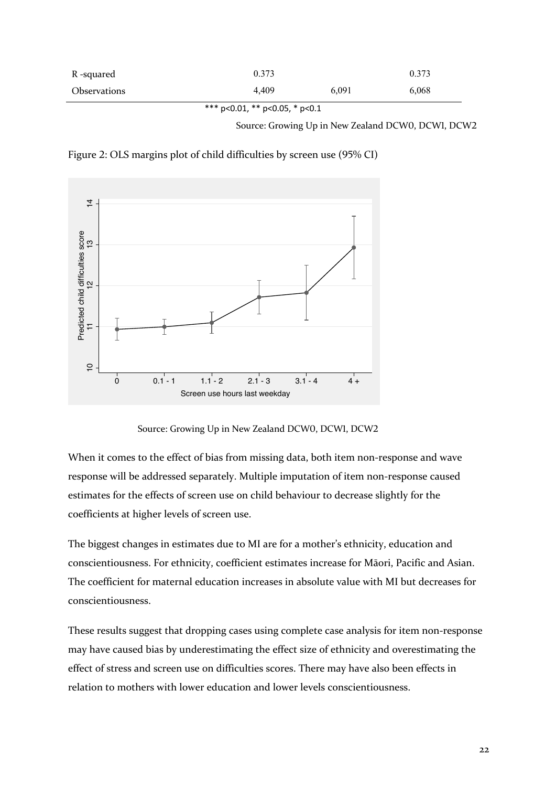| R -squared   | 0.373 |       | 0.373 |
|--------------|-------|-------|-------|
| Observations | 4.409 | 6,091 | 6,068 |

\*\*\* p<0.01, \*\* p<0.05, \* p<0.1

Source: Growing Up in New Zealand DCW0, DCW1, DCW2

Figure 2: OLS margins plot of child difficulties by screen use  $(95\%$  CI)



Source: Growing Up in New Zealand DCW0, DCW1, DCW2

When it comes to the effect of bias from missing data, both item non-response and wave response will be addressed separately. Multiple imputation of item non-response caused estimates for the effects of screen use on child behaviour to decrease slightly for the coefficients at higher levels of screen use.

The biggest changes in estimates due to MI are for a mother's ethnicity, education and conscientiousness. For ethnicity, coefficient estimates increase for Māori, Pacific and Asian. The coefficient for maternal education increases in absolute value with MI but decreases for conscientiousness.

These results suggest that dropping cases using complete case analysis for item non-response may have caused bias by underestimating the effect size of ethnicity and overestimating the effect of stress and screen use on difficulties scores. There may have also been effects in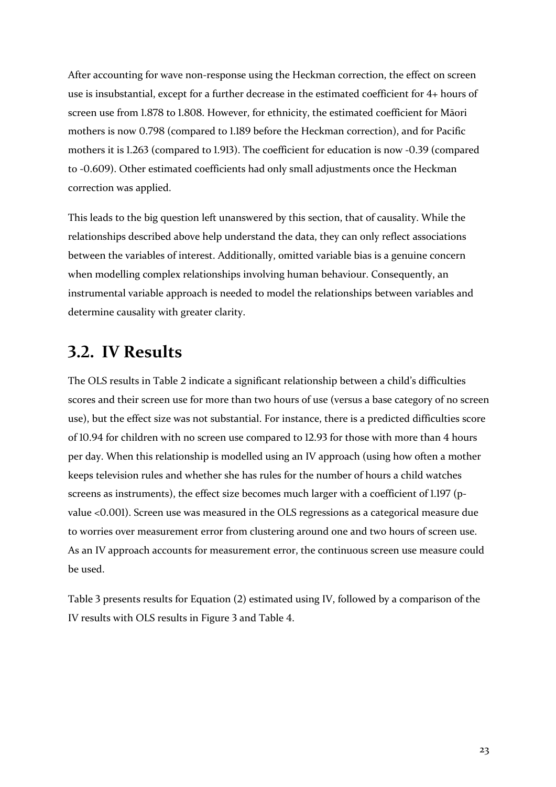After accounting for wave non-response using the Heckman correction, the effect on screen use is insubstantial, except for a further decrease in the estimated coefficient for  $4+$  hours of screen use from 1.878 to 1.808. However, for ethnicity, the estimated coefficient for Māori mothers is now 0.798 (compared to 1.189 before the Heckman correction), and for Pacific mothers it is  $1.263$  (compared to  $1.913$ ). The coefficient for education is now -0.39 (compared to -0.609). Other estimated coefficients had only small adjustments once the Heckman correction was applied.

This leads to the big question left unanswered by this section, that of causality. While the relationships described above help understand the data, they can only reflect associations between the variables of interest. Additionally, omitted variable bias is a genuine concern when modelling complex relationships involving human behaviour. Consequently, an instrumental variable approach is needed to model the relationships between variables and determine causality with greater clarity.

### **;.6. IV Results**

The OLS results in Table 2 indicate a significant relationship between a child's difficulties scores and their screen use for more than two hours of use (versus a base category of no screen use), but the effect size was not substantial. For instance, there is a predicted difficulties score of  $10.94$  for children with no screen use compared to 12.93 for those with more than 4 hours per day. When this relationship is modelled using an IV approach (using how often a mother keeps television rules and whether she has rules for the number of hours a child watches screens as instruments), the effect size becomes much larger with a coefficient of  $1.197$  (pvalue < $0.001$ ). Screen use was measured in the OLS regressions as a categorical measure due to worries over measurement error from clustering around one and two hours of screen use. As an IV approach accounts for measurement error, the continuous screen use measure could be used.

Table 3 presents results for Equation  $(2)$  estimated using IV, followed by a comparison of the IV results with OLS results in Figure 3 and Table 4.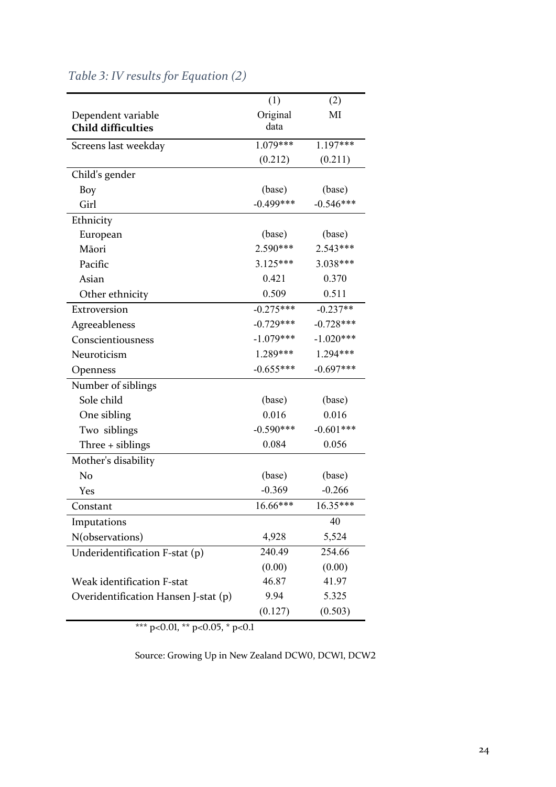|                                      | (1)         | (2)         |
|--------------------------------------|-------------|-------------|
| Dependent variable                   | Original    | MI          |
| <b>Child difficulties</b>            | data        |             |
| Screens last weekday                 | $1.079***$  | $1.197***$  |
|                                      | (0.212)     | (0.211)     |
| Child's gender                       |             |             |
| Boy                                  | (base)      | (base)      |
| Girl                                 | $-0.499***$ | $-0.546***$ |
| Ethnicity                            |             |             |
| European                             | (base)      | (base)      |
| Māori                                | 2.590***    | $2.543***$  |
| Pacific                              | 3.125***    | 3.038***    |
| Asian                                | 0.421       | 0.370       |
| Other ethnicity                      | 0.509       | 0.511       |
| Extroversion                         | $-0.275***$ | $-0.237**$  |
| Agreeableness                        | $-0.729***$ | $-0.728***$ |
| Conscientiousness                    | $-1.079***$ | $-1.020***$ |
| Neuroticism                          | 1.289***    | 1.294***    |
| Openness                             | $-0.655***$ | $-0.697***$ |
| Number of siblings                   |             |             |
| Sole child                           | (base)      | (base)      |
| One sibling                          | 0.016       | 0.016       |
| Two siblings                         | $-0.590***$ | $-0.601***$ |
| Three + siblings                     | 0.084       | 0.056       |
| Mother's disability                  |             |             |
| No                                   | (base)      | (base)      |
| Yes                                  | $-0.369$    | $-0.266$    |
| Constant                             | 16.66***    | $16.35***$  |
| Imputations                          |             | 40          |
| N(observations)                      | 4,928       | 5,524       |
| Underidentification F-stat (p)       | 240.49      | 254.66      |
|                                      | (0.00)      | (0.00)      |
| <b>Weak identification F-stat</b>    | 46.87       | 41.97       |
| Overidentification Hansen J-stat (p) | 9.94        | 5.325       |
|                                      | (0.127)     | (0.503)     |

### *Table 3: IV results for Equation (2)*

\*\*\* p<0.01, \*\* p<0.05, \* p<0.1

Source: Growing Up in New Zealand DCWO, DCWI, DCW2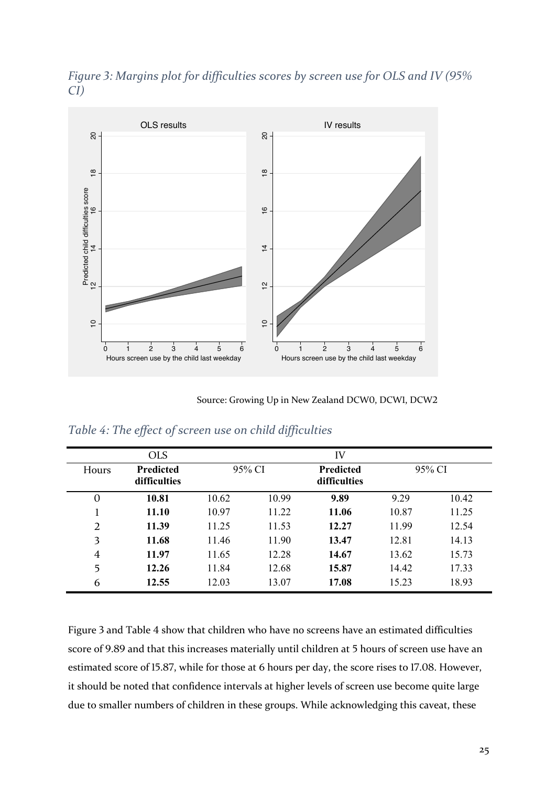



Source: Growing Up in New Zealand DCWO, DCWI, DCW2

|  |  |  |  | Table 4: The effect of screen use on child difficulties |
|--|--|--|--|---------------------------------------------------------|
|  |  |  |  |                                                         |

|                | <b>OLS</b>                |        |       | IV                        |       |        |
|----------------|---------------------------|--------|-------|---------------------------|-------|--------|
| Hours          | Predicted<br>difficulties | 95% CI |       | Predicted<br>difficulties |       | 95% CI |
| $\mathbf{0}$   | 10.81                     | 10.62  | 10.99 | 9.89                      | 9.29  | 10.42  |
|                | 11.10                     | 10.97  | 11.22 | 11.06                     | 10.87 | 11.25  |
| $\overline{2}$ | 11.39                     | 11.25  | 11.53 | 12.27                     | 11.99 | 12.54  |
| 3              | 11.68                     | 11.46  | 11.90 | 13.47                     | 12.81 | 14.13  |
| $\overline{4}$ | 11.97                     | 11.65  | 12.28 | 14.67                     | 13.62 | 15.73  |
| 5              | 12.26                     | 11.84  | 12.68 | 15.87                     | 14.42 | 17.33  |
| 6              | 12.55                     | 12.03  | 13.07 | 17.08                     | 15.23 | 18.93  |

Figure 3 and Table 4 show that children who have no screens have an estimated difficulties score of 9.89 and that this increases materially until children at 5 hours of screen use have an estimated score of 15.87, while for those at 6 hours per day, the score rises to 17.08. However, it should be noted that confidence intervals at higher levels of screen use become quite large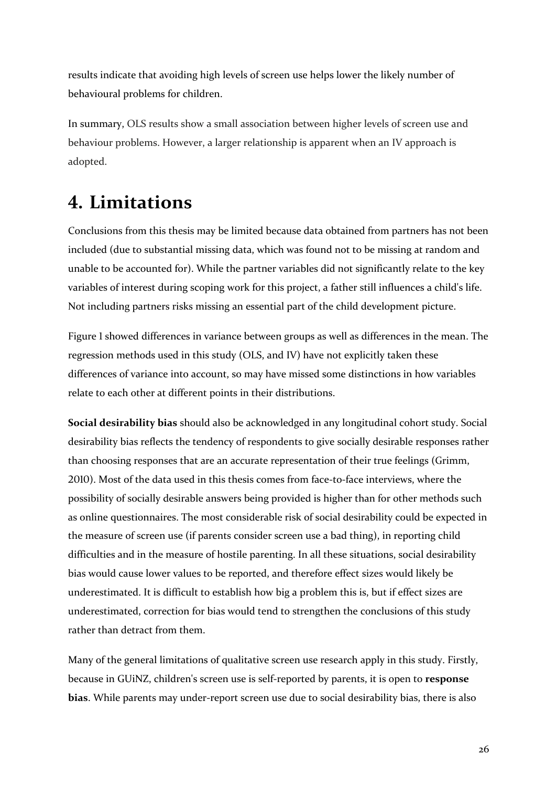results indicate that avoiding high levels of screen use helps lower the likely number of behavioural problems for children.

In summary, OLS results show a small association between higher levels of screen use and behaviour problems. However, a larger relationship is apparent when an IV approach is adopted.

## **7. Limitations**

Conclusions from this thesis may be limited because data obtained from partners has not been included (due to substantial missing data, which was found not to be missing at random and unable to be accounted for). While the partner variables did not significantly relate to the key variables of interest during scoping work for this project, a father still influences a child's life. Not including partners risks missing an essential part of the child development picture.

Figure 1 showed differences in variance between groups as well as differences in the mean. The regression methods used in this study (OLS, and IV) have not explicitly taken these differences of variance into account, so may have missed some distinctions in how variables relate to each other at different points in their distributions.

**Social desirability bias** should also be acknowledged in any longitudinal cohort study. Social desirability bias reflects the tendency of respondents to give socially desirable responses rather than choosing responses that are an accurate representation of their true feelings (Grimm, 2010). Most of the data used in this thesis comes from face-to-face interviews, where the possibility of socially desirable answers being provided is higher than for other methods such as online questionnaires. The most considerable risk of social desirability could be expected in the measure of screen use (if parents consider screen use a bad thing), in reporting child difficulties and in the measure of hostile parenting. In all these situations, social desirability bias would cause lower values to be reported, and therefore effect sizes would likely be underestimated. It is difficult to establish how big a problem this is, but if effect sizes are underestimated, correction for bias would tend to strengthen the conclusions of this study rather than detract from them.

Many of the general limitations of qualitative screen use research apply in this study. Firstly, because in GUiNZ, children's screen use is self-reported by parents, it is open to response **bias**. While parents may under-report screen use due to social desirability bias, there is also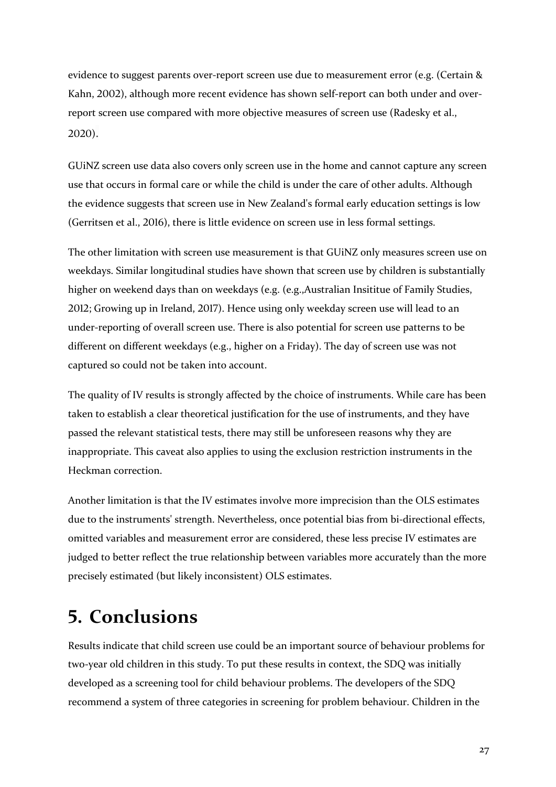evidence to suggest parents over-report screen use due to measurement error (e.g. (Certain & Kahn, 2002), although more recent evidence has shown self-report can both under and overreport screen use compared with more objective measures of screen use (Radesky et al., 2020).

GUiNZ screen use data also covers only screen use in the home and cannot capture any screen use that occurs in formal care or while the child is under the care of other adults. Although the evidence suggests that screen use in New Zealand's formal early education settings is low (Gerritsen et al., 2016), there is little evidence on screen use in less formal settings.

The other limitation with screen use measurement is that GUiNZ only measures screen use on weekdays. Similar longitudinal studies have shown that screen use by children is substantially higher on weekend days than on weekdays (e.g. (e.g.,Australian Insititue of Family Studies, 2012; Growing up in Ireland, 2017). Hence using only weekday screen use will lead to an under-reporting of overall screen use. There is also potential for screen use patterns to be different on different weekdays (e.g., higher on a Friday). The day of screen use was not captured so could not be taken into account.

The quality of IV results is strongly affected by the choice of instruments. While care has been taken to establish a clear theoretical justification for the use of instruments, and they have passed the relevant statistical tests, there may still be unforeseen reasons why they are inappropriate. This caveat also applies to using the exclusion restriction instruments in the Heckman correction. 

Another limitation is that the IV estimates involve more imprecision than the OLS estimates due to the instruments' strength. Nevertheless, once potential bias from bi-directional effects, omitted variables and measurement error are considered, these less precise IV estimates are judged to better reflect the true relationship between variables more accurately than the more precisely estimated (but likely inconsistent) OLS estimates.

## **9. Conclusions**

Results indicate that child screen use could be an important source of behaviour problems for two-year old children in this study. To put these results in context, the SDQ was initially developed as a screening tool for child behaviour problems. The developers of the SDQ recommend a system of three categories in screening for problem behaviour. Children in the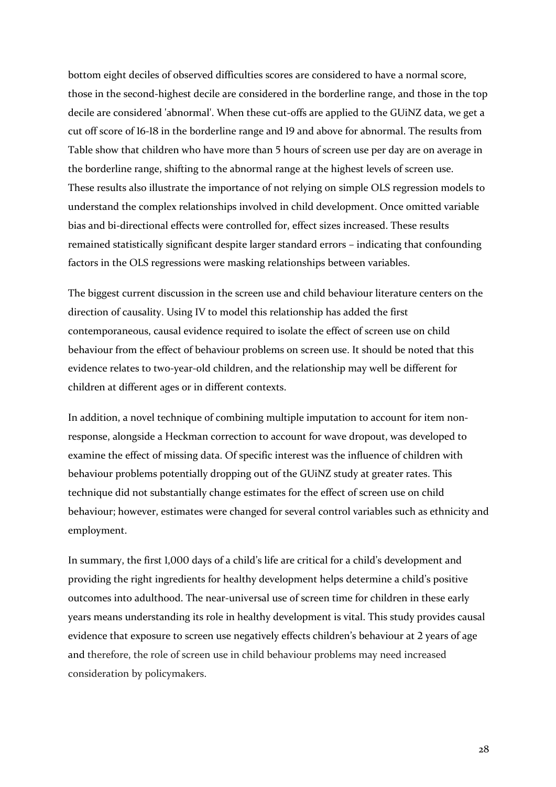bottom eight deciles of observed difficulties scores are considered to have a normal score, those in the second-highest decile are considered in the borderline range, and those in the top decile are considered 'abnormal'. When these cut-offs are applied to the GUiNZ data, we get a cut off score of 16-18 in the borderline range and 19 and above for abnormal. The results from Table show that children who have more than 5 hours of screen use per day are on average in the borderline range, shifting to the abnormal range at the highest levels of screen use. These results also illustrate the importance of not relying on simple OLS regression models to understand the complex relationships involved in child development. Once omitted variable bias and bi-directional effects were controlled for, effect sizes increased. These results remained statistically significant despite larger standard errors – indicating that confounding factors in the OLS regressions were masking relationships between variables.

The biggest current discussion in the screen use and child behaviour literature centers on the direction of causality. Using IV to model this relationship has added the first contemporaneous, causal evidence required to isolate the effect of screen use on child behaviour from the effect of behaviour problems on screen use. It should be noted that this evidence relates to two-year-old children, and the relationship may well be different for children at different ages or in different contexts.

In addition, a novel technique of combining multiple imputation to account for item nonresponse, alongside a Heckman correction to account for wave dropout, was developed to examine the effect of missing data. Of specific interest was the influence of children with behaviour problems potentially dropping out of the GUiNZ study at greater rates. This technique did not substantially change estimates for the effect of screen use on child behaviour; however, estimates were changed for several control variables such as ethnicity and employment.

In summary, the first 1,000 days of a child's life are critical for a child's development and providing the right ingredients for healthy development helps determine a child's positive outcomes into adulthood. The near-universal use of screen time for children in these early years means understanding its role in healthy development is vital. This study provides causal evidence that exposure to screen use negatively effects children's behaviour at 2 years of age and therefore, the role of screen use in child behaviour problems may need increased consideration by policymakers.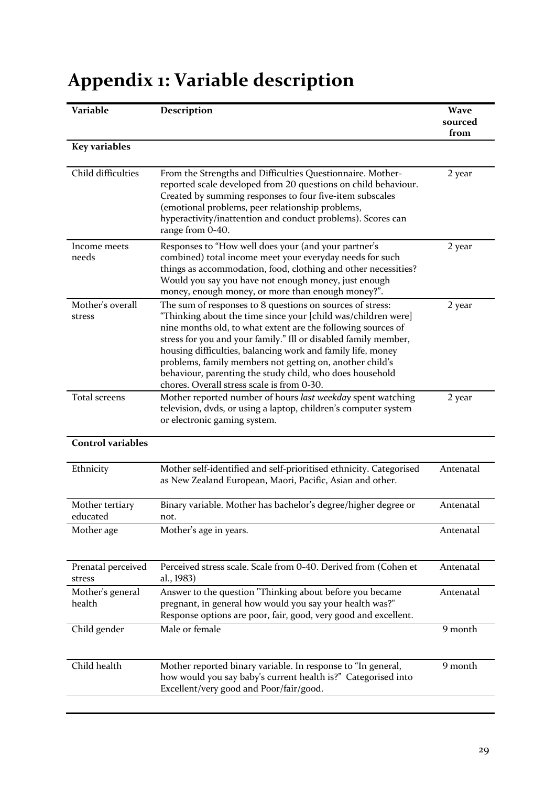| Variable                     | Description                                                                                                                                                                                                                                                                                                                                                                                                                                                                                        | <b>Wave</b><br>sourced |
|------------------------------|----------------------------------------------------------------------------------------------------------------------------------------------------------------------------------------------------------------------------------------------------------------------------------------------------------------------------------------------------------------------------------------------------------------------------------------------------------------------------------------------------|------------------------|
| <b>Key variables</b>         |                                                                                                                                                                                                                                                                                                                                                                                                                                                                                                    | from                   |
|                              |                                                                                                                                                                                                                                                                                                                                                                                                                                                                                                    |                        |
| Child difficulties           | From the Strengths and Difficulties Questionnaire. Mother-<br>reported scale developed from 20 questions on child behaviour.<br>Created by summing responses to four five-item subscales<br>(emotional problems, peer relationship problems,<br>hyperactivity/inattention and conduct problems). Scores can<br>range from 0-40.                                                                                                                                                                    | 2 year                 |
| Income meets<br>needs        | Responses to "How well does your (and your partner's<br>combined) total income meet your everyday needs for such<br>things as accommodation, food, clothing and other necessities?<br>Would you say you have not enough money, just enough<br>money, enough money, or more than enough money?".                                                                                                                                                                                                    | 2 year                 |
| Mother's overall<br>stress   | The sum of responses to 8 questions on sources of stress:<br>"Thinking about the time since your [child was/children were]<br>nine months old, to what extent are the following sources of<br>stress for you and your family." Ill or disabled family member,<br>housing difficulties, balancing work and family life, money<br>problems, family members not getting on, another child's<br>behaviour, parenting the study child, who does household<br>chores. Overall stress scale is from 0-30. | 2 year                 |
| Total screens                | Mother reported number of hours last weekday spent watching<br>television, dvds, or using a laptop, children's computer system<br>or electronic gaming system.                                                                                                                                                                                                                                                                                                                                     | 2 year                 |
| <b>Control variables</b>     |                                                                                                                                                                                                                                                                                                                                                                                                                                                                                                    |                        |
| Ethnicity                    | Mother self-identified and self-prioritised ethnicity. Categorised<br>as New Zealand European, Maori, Pacific, Asian and other.                                                                                                                                                                                                                                                                                                                                                                    | Antenatal              |
| Mother tertiary<br>educated  | Binary variable. Mother has bachelor's degree/higher degree or<br>not.                                                                                                                                                                                                                                                                                                                                                                                                                             | Antenatal              |
| Mother age                   | Mother's age in years.                                                                                                                                                                                                                                                                                                                                                                                                                                                                             | Antenatal              |
| Prenatal perceived<br>stress | Perceived stress scale. Scale from 0-40. Derived from (Cohen et<br>al., 1983)                                                                                                                                                                                                                                                                                                                                                                                                                      | Antenatal              |
| Mother's general<br>health   | Answer to the question "Thinking about before you became<br>pregnant, in general how would you say your health was?"<br>Response options are poor, fair, good, very good and excellent.                                                                                                                                                                                                                                                                                                            | Antenatal              |
| Child gender                 | Male or female                                                                                                                                                                                                                                                                                                                                                                                                                                                                                     | 9 month                |
| Child health                 | Mother reported binary variable. In response to "In general,<br>how would you say baby's current health is?" Categorised into<br>Excellent/very good and Poor/fair/good.                                                                                                                                                                                                                                                                                                                           | 9 month                |

# **Appendix 1: Variable description**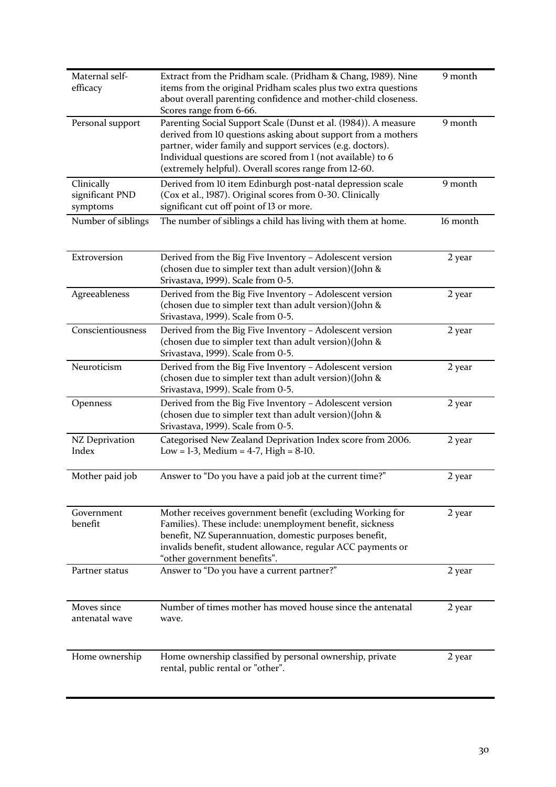| Maternal self-<br>efficacy                | Extract from the Pridham scale. (Pridham & Chang, 1989). Nine<br>items from the original Pridham scales plus two extra questions<br>about overall parenting confidence and mother-child closeness.<br>Scores range from 6-66.                                                                                          | 9 month  |
|-------------------------------------------|------------------------------------------------------------------------------------------------------------------------------------------------------------------------------------------------------------------------------------------------------------------------------------------------------------------------|----------|
| Personal support                          | Parenting Social Support Scale (Dunst et al. (1984)). A measure<br>derived from 10 questions asking about support from a mothers<br>partner, wider family and support services (e.g. doctors).<br>Individual questions are scored from 1 (not available) to 6<br>(extremely helpful). Overall scores range from 12-60. | 9 month  |
| Clinically<br>significant PND<br>symptoms | Derived from 10 item Edinburgh post-natal depression scale<br>(Cox et al., 1987). Original scores from 0-30. Clinically<br>significant cut off point of 13 or more.                                                                                                                                                    | 9 month  |
| Number of siblings                        | The number of siblings a child has living with them at home.                                                                                                                                                                                                                                                           | 16 month |
| Extroversion                              | Derived from the Big Five Inventory - Adolescent version<br>(chosen due to simpler text than adult version)(John &<br>Srivastava, 1999). Scale from 0-5.                                                                                                                                                               | 2 year   |
| Agreeableness                             | Derived from the Big Five Inventory - Adolescent version<br>(chosen due to simpler text than adult version) (John &<br>Srivastava, 1999). Scale from 0-5.                                                                                                                                                              | 2 year   |
| Conscientiousness                         | Derived from the Big Five Inventory - Adolescent version<br>(chosen due to simpler text than adult version)(John &<br>Srivastava, 1999). Scale from 0-5.                                                                                                                                                               | 2 year   |
| Neuroticism                               | Derived from the Big Five Inventory - Adolescent version<br>(chosen due to simpler text than adult version) (John &<br>Srivastava, 1999). Scale from 0-5.                                                                                                                                                              | 2 year   |
| Openness                                  | Derived from the Big Five Inventory - Adolescent version<br>(chosen due to simpler text than adult version)(John &<br>Srivastava, 1999). Scale from 0-5.                                                                                                                                                               | 2 year   |
| NZ Deprivation<br>Index                   | Categorised New Zealand Deprivation Index score from 2006.<br>Low = 1-3, Medium = $4-7$ , High = $8-10$ .                                                                                                                                                                                                              | 2 year   |
| Mother paid job                           | Answer to "Do you have a paid job at the current time?"                                                                                                                                                                                                                                                                | 2 year   |
| Government<br>benefit                     | Mother receives government benefit (excluding Working for<br>Families). These include: unemployment benefit, sickness<br>benefit, NZ Superannuation, domestic purposes benefit,<br>invalids benefit, student allowance, regular ACC payments or<br>"other government benefits".                                        | 2 year   |
| Partner status                            | Answer to "Do you have a current partner?"                                                                                                                                                                                                                                                                             | 2 year   |
| Moves since<br>antenatal wave             | Number of times mother has moved house since the antenatal<br>wave.                                                                                                                                                                                                                                                    | 2 year   |
| Home ownership                            | Home ownership classified by personal ownership, private<br>rental, public rental or "other".                                                                                                                                                                                                                          | 2 year   |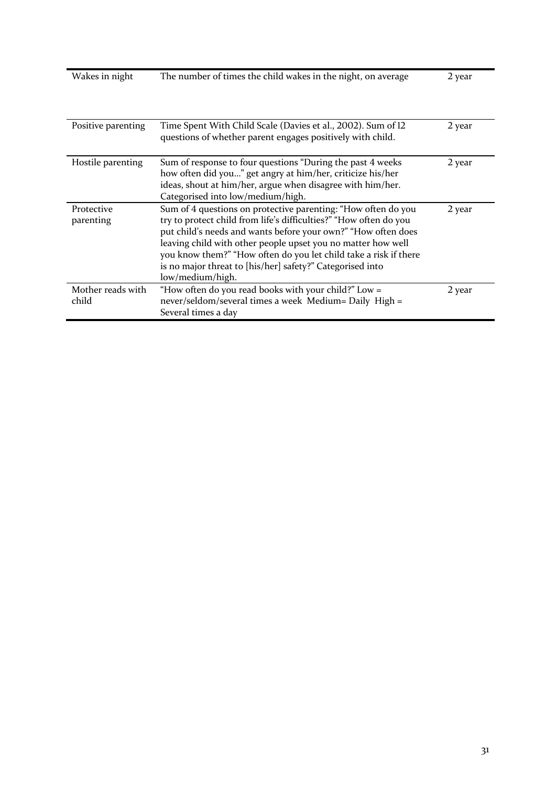| Wakes in night             | The number of times the child wakes in the night, on average                                                                                                                                                                                                                                                                                                                                                             | 2 year |
|----------------------------|--------------------------------------------------------------------------------------------------------------------------------------------------------------------------------------------------------------------------------------------------------------------------------------------------------------------------------------------------------------------------------------------------------------------------|--------|
| Positive parenting         | Time Spent With Child Scale (Davies et al., 2002). Sum of 12<br>questions of whether parent engages positively with child.                                                                                                                                                                                                                                                                                               | 2 year |
| Hostile parenting          | Sum of response to four questions "During the past 4 weeks<br>how often did you" get angry at him/her, criticize his/her<br>ideas, shout at him/her, argue when disagree with him/her.<br>Categorised into low/medium/high.                                                                                                                                                                                              | 2 year |
| Protective<br>parenting    | Sum of 4 questions on protective parenting: "How often do you<br>try to protect child from life's difficulties?" "How often do you<br>put child's needs and wants before your own?" "How often does<br>leaving child with other people upset you no matter how well<br>you know them?" "How often do you let child take a risk if there<br>is no major threat to [his/her] safety?" Categorised into<br>low/medium/high. | 2 year |
| Mother reads with<br>child | "How often do you read books with your child?" Low =<br>never/seldom/several times a week Medium= Daily High =<br>Several times a day                                                                                                                                                                                                                                                                                    | 2 year |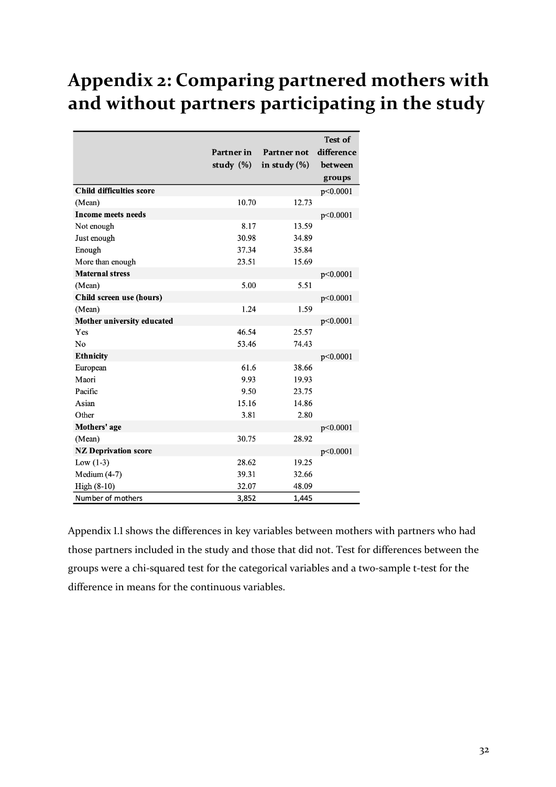## Appendix 2: Comparing partnered mothers with and without partners participating in the study

|                                 |              |                  | <b>Test of</b> |
|---------------------------------|--------------|------------------|----------------|
|                                 | Partner in   | Partner not      | difference     |
|                                 | study $(\%)$ | in study $(\% )$ | between        |
|                                 |              |                  | groups         |
| <b>Child difficulties score</b> |              |                  | p<0.0001       |
| (Mean)                          | 10.70        | 12.73            |                |
| <b>Income meets needs</b>       |              |                  | p<0.0001       |
| Not enough                      | 8.17         | 13.59            |                |
| Just enough                     | 30.98        | 34.89            |                |
| Enough                          | 37.34        | 35.84            |                |
| More than enough                | 23.51        | 15.69            |                |
| <b>Maternal stress</b>          |              |                  | p<0.0001       |
| (Mean)                          | 5.00         | 5.51             |                |
| Child screen use (hours)        |              |                  | p<0.0001       |
| (Mean)                          | 1.24         | 1.59             |                |
| Mother university educated      |              |                  | p<0.0001       |
| Yes                             | 46.54        | 25.57            |                |
| No                              | 53.46        | 74.43            |                |
| <b>Ethnicity</b>                |              |                  | p<0.0001       |
| European                        | 61.6         | 38.66            |                |
| Maori                           | 9.93         | 19.93            |                |
| Pacific                         | 9.50         | 23.75            |                |
| Asian                           | 15.16        | 14.86            |                |
| Other                           | 3.81         | 2.80             |                |
| Mothers' age                    |              |                  | p<0.0001       |
| (Mean)                          | 30.75        | 28.92            |                |
| <b>NZ Deprivation score</b>     |              |                  | p<0.0001       |
| Low $(1-3)$                     | 28.62        | 19.25            |                |
| Medium $(4-7)$                  | 39.31        | 32.66            |                |
| High (8-10)                     | 32.07        | 48.09            |                |
| Number of mothers               | 3,852        | 1,445            |                |

Appendix 1.1 shows the differences in key variables between mothers with partners who had those partners included in the study and those that did not. Test for differences between the groups were a chi-squared test for the categorical variables and a two-sample t-test for the difference in means for the continuous variables.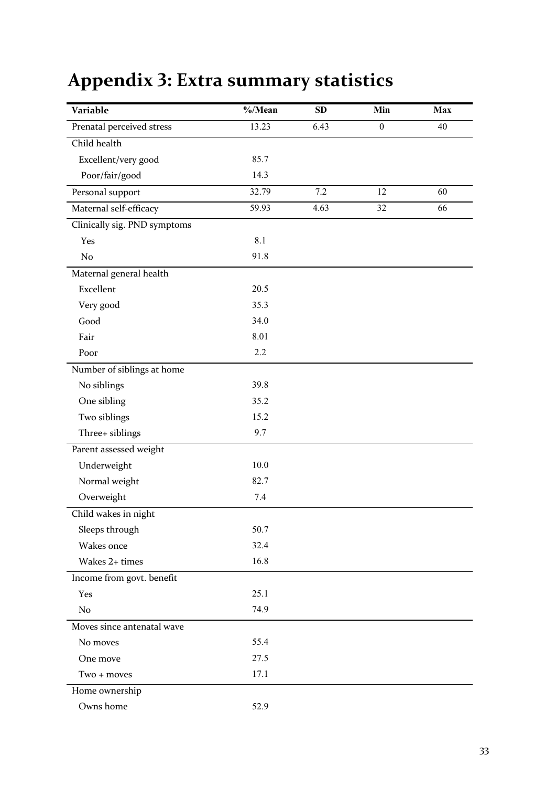# Appendix 3: Extra summary statistics

| Variable                     | $\%$ /Mean | SD   | Min              | <b>Max</b> |
|------------------------------|------------|------|------------------|------------|
| Prenatal perceived stress    | 13.23      | 6.43 | $\boldsymbol{0}$ | 40         |
| Child health                 |            |      |                  |            |
| Excellent/very good          | 85.7       |      |                  |            |
| Poor/fair/good               | 14.3       |      |                  |            |
| Personal support             | 32.79      | 7.2  | 12               | 60         |
| Maternal self-efficacy       | 59.93      | 4.63 | 32               | 66         |
| Clinically sig. PND symptoms |            |      |                  |            |
| Yes                          | 8.1        |      |                  |            |
| No                           | 91.8       |      |                  |            |
| Maternal general health      |            |      |                  |            |
| Excellent                    | 20.5       |      |                  |            |
| Very good                    | 35.3       |      |                  |            |
| Good                         | 34.0       |      |                  |            |
| Fair                         | 8.01       |      |                  |            |
| Poor                         | 2.2        |      |                  |            |
| Number of siblings at home   |            |      |                  |            |
| No siblings                  | 39.8       |      |                  |            |
| One sibling                  | 35.2       |      |                  |            |
| Two siblings                 | 15.2       |      |                  |            |
| Three+ siblings              | 9.7        |      |                  |            |
| Parent assessed weight       |            |      |                  |            |
| Underweight                  | 10.0       |      |                  |            |
| Normal weight                | 82.7       |      |                  |            |
| Overweight                   | 7.4        |      |                  |            |
| Child wakes in night         |            |      |                  |            |
| Sleeps through               | 50.7       |      |                  |            |
| Wakes once                   | 32.4       |      |                  |            |
| Wakes 2+ times               | 16.8       |      |                  |            |
| Income from govt. benefit    |            |      |                  |            |
| Yes                          | 25.1       |      |                  |            |
| No                           | 74.9       |      |                  |            |
| Moves since antenatal wave   |            |      |                  |            |
| No moves                     | 55.4       |      |                  |            |
| One move                     | 27.5       |      |                  |            |
| Two + moves                  | 17.1       |      |                  |            |
| Home ownership               |            |      |                  |            |
| Owns home                    | 52.9       |      |                  |            |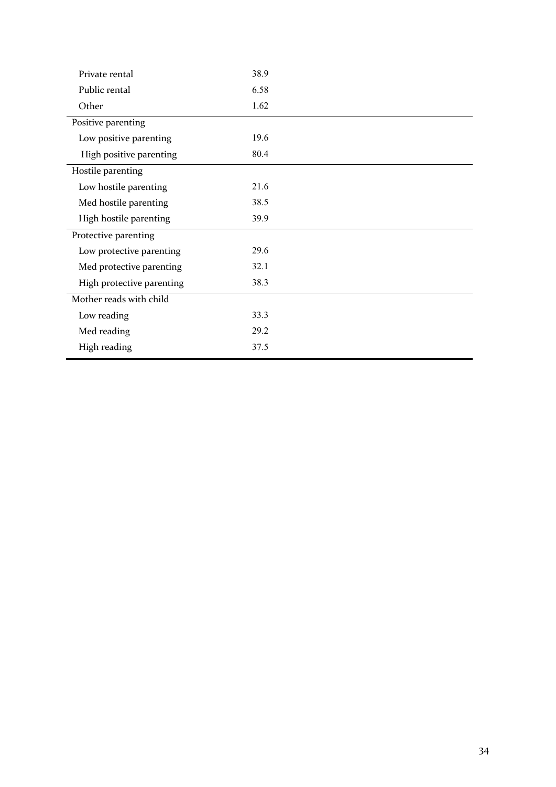| Private rental            | 38.9 |
|---------------------------|------|
| Public rental             | 6.58 |
| Other                     | 1.62 |
| Positive parenting        |      |
| Low positive parenting    | 19.6 |
| High positive parenting   | 80.4 |
| Hostile parenting         |      |
| Low hostile parenting     | 21.6 |
| Med hostile parenting     | 38.5 |
| High hostile parenting    | 39.9 |
| Protective parenting      |      |
| Low protective parenting  | 29.6 |
| Med protective parenting  | 32.1 |
| High protective parenting | 38.3 |
| Mother reads with child   |      |
| Low reading               | 33.3 |
| Med reading               | 29.2 |
| High reading              | 37.5 |
|                           |      |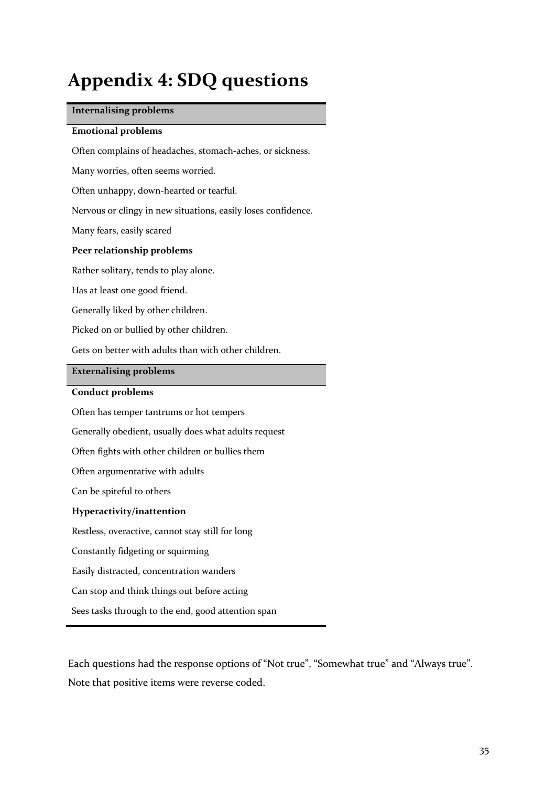# Appendix 4: SDQ questions

### **Internalising problems**

#### **Emotional problems**

Often complains of headaches, stomach-aches, or sickness.

Many worries, often seems worried.

Often unhappy, down-hearted or tearful.

Nervous or clingy in new situations, easily loses confidence.

Many fears, easily scared

### **Peer relationship problems**

Rather solitary, tends to play alone.

Has at least one good friend.

Generally liked by other children.

Picked on or bullied by other children.

Gets on better with adults than with other children.

### **Externalising problems**

#### **Conduct problems**

Often has temper tantrums or hot tempers

Generally obedient, usually does what adults request

Often fights with other children or bullies them

Often argumentative with adults

Can be spiteful to others

#### **Hyperactivity/inattention**

Restless, overactive, cannot stay still for long

Constantly fidgeting or squirming

Easily distracted, concentration wanders

Can stop and think things out before acting

Sees tasks through to the end, good attention span

Each questions had the response options of "Not true", "Somewhat true" and "Always true". Note that positive items were reverse coded.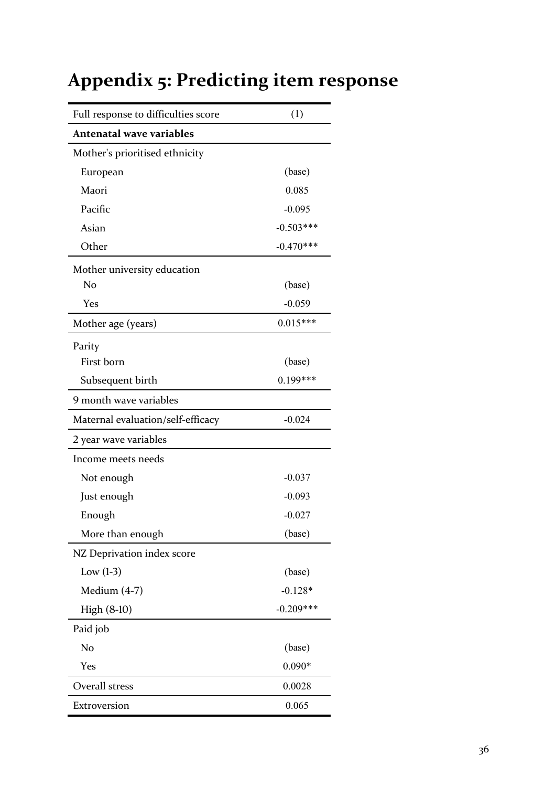| Full response to difficulties score | (1)         |
|-------------------------------------|-------------|
| <b>Antenatal wave variables</b>     |             |
| Mother's prioritised ethnicity      |             |
| European                            | (base)      |
| Maori                               | 0.085       |
| Pacific                             | $-0.095$    |
| Asian                               | $-0.503***$ |
| Other                               | $-0.470***$ |
| Mother university education         |             |
| No                                  | (base)      |
| Yes                                 | $-0.059$    |
| Mother age (years)                  | $0.015***$  |
| Parity                              |             |
| First born                          | (base)      |
| Subsequent birth                    | $0.199***$  |
| 9 month wave variables              |             |
| Maternal evaluation/self-efficacy   | $-0.024$    |
| 2 year wave variables               |             |
| Income meets needs                  |             |
| Not enough                          | $-0.037$    |
| Just enough                         | $-0.093$    |
| Enough                              | $-0.027$    |
| More than enough                    | (base)      |
| NZ Deprivation index score          |             |
| Low $(1-3)$                         | (base)      |
| Medium (4-7)                        | $-0.128*$   |
| High (8-10)                         | $-0.209***$ |
| Paid job                            |             |
| No                                  | (base)      |
| Yes                                 | $0.090*$    |
| Overall stress                      | 0.0028      |
| Extroversion                        | 0.065       |

# Appendix 5: Predicting item response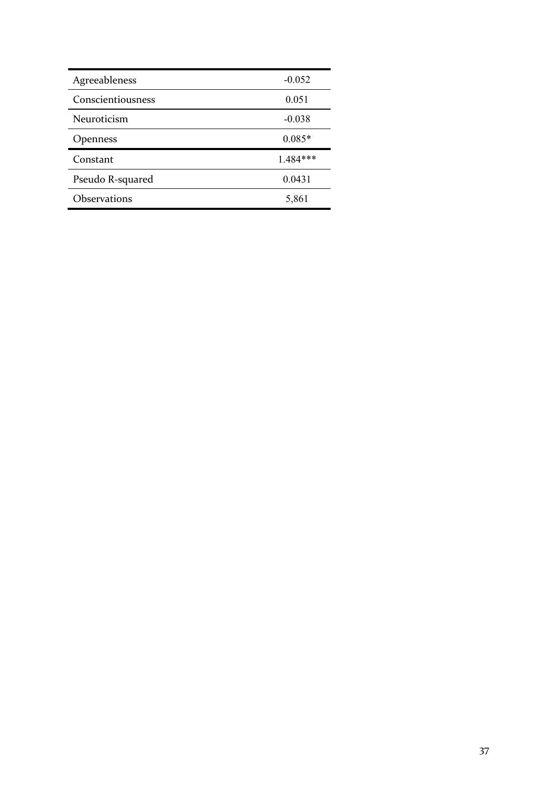| Agreeableness     | $-0.052$ |
|-------------------|----------|
| Conscientiousness | 0.051    |
| Neuroticism       | $-0.038$ |
| <b>Openness</b>   | $0.085*$ |
| Constant          | 1.484*** |
| Pseudo R-squared  | 0.0431   |
| Observations      | 5,861    |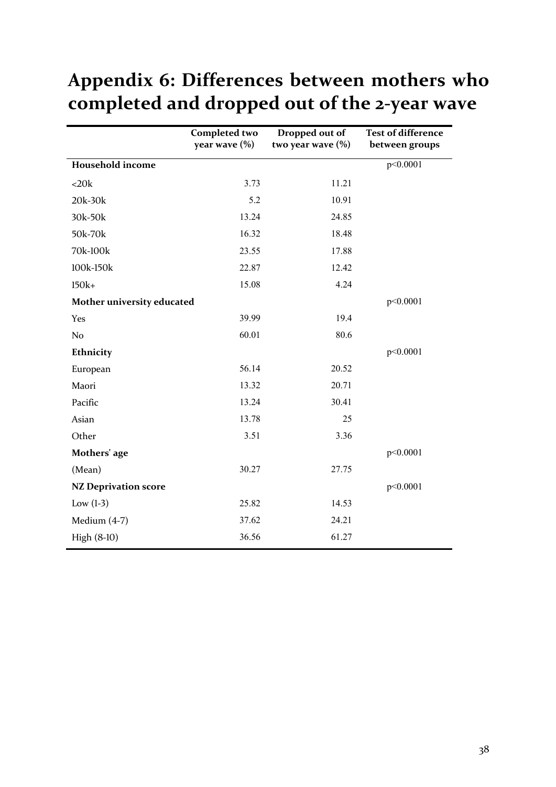# Appendix 6: Differences between mothers who completed and dropped out of the 2-year wave

|                             | <b>Completed two</b><br>year wave (%) | Dropped out of<br>two year wave (%) | <b>Test of difference</b><br>between groups |
|-----------------------------|---------------------------------------|-------------------------------------|---------------------------------------------|
| <b>Household income</b>     |                                       |                                     | p<0.0001                                    |
| <20k                        | 3.73                                  | 11.21                               |                                             |
| 20k-30k                     | 5.2                                   | 10.91                               |                                             |
| 30k-50k                     | 13.24                                 | 24.85                               |                                             |
| 50k-70k                     | 16.32                                 | 18.48                               |                                             |
| 70k-100k                    | 23.55                                 | 17.88                               |                                             |
| 100k-150k                   | 22.87                                 | 12.42                               |                                             |
| $150k+$                     | 15.08                                 | 4.24                                |                                             |
| Mother university educated  |                                       |                                     | p<0.0001                                    |
| Yes                         | 39.99                                 | 19.4                                |                                             |
| N <sub>o</sub>              | 60.01                                 | 80.6                                |                                             |
| Ethnicity                   |                                       |                                     | p<0.0001                                    |
| European                    | 56.14                                 | 20.52                               |                                             |
| Maori                       | 13.32                                 | 20.71                               |                                             |
| Pacific                     | 13.24                                 | 30.41                               |                                             |
| Asian                       | 13.78                                 | 25                                  |                                             |
| Other                       | 3.51                                  | 3.36                                |                                             |
| Mothers' age                |                                       |                                     | p<0.0001                                    |
| (Mean)                      | 30.27                                 | 27.75                               |                                             |
| <b>NZ Deprivation score</b> |                                       |                                     | p<0.0001                                    |
| Low $(1-3)$                 | 25.82                                 | 14.53                               |                                             |
| Medium (4-7)                | 37.62                                 | 24.21                               |                                             |
| High (8-10)                 | 36.56                                 | 61.27                               |                                             |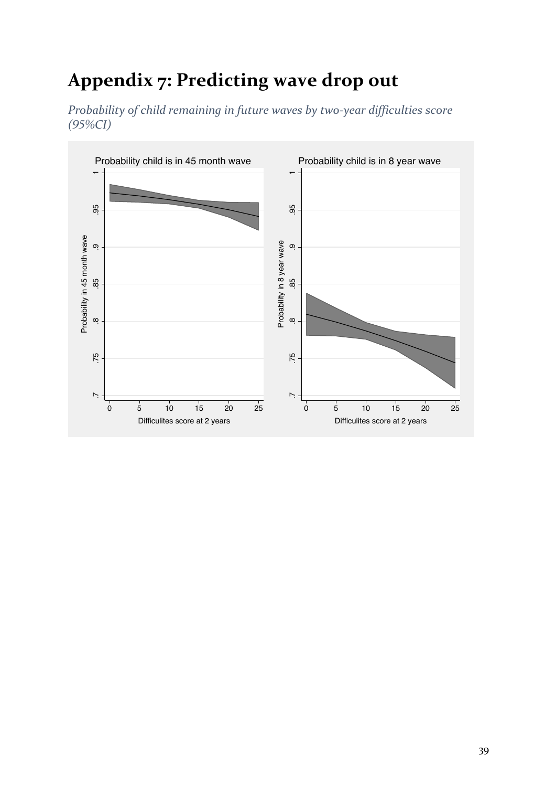# Appendix 7: Predicting wave drop out

*Probability* of child remaining in future waves by two-year difficulties score *(GH%CI)*

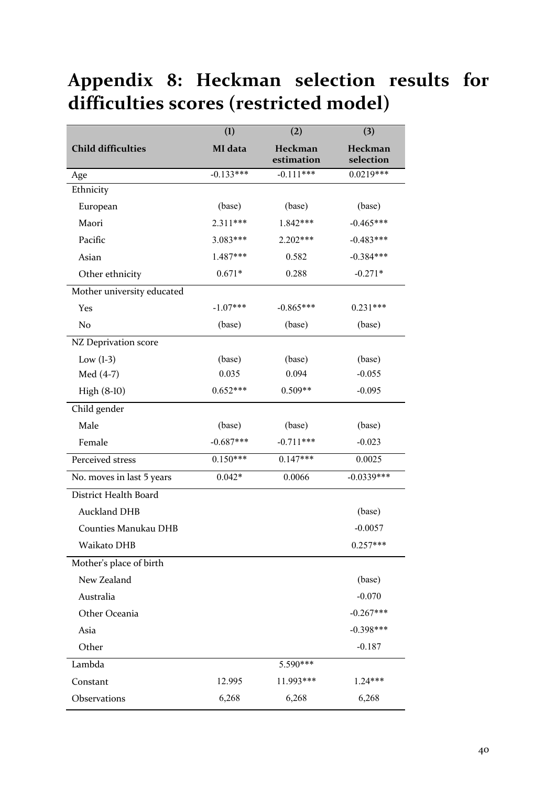# **Appendix 8: Heckman selection results for**  difficulties scores (restricted model)

|                             | (1)         | (2)                   | (3)                  |
|-----------------------------|-------------|-----------------------|----------------------|
| <b>Child difficulties</b>   | MI data     | Heckman<br>estimation | Heckman<br>selection |
| Age                         | $-0.133***$ | $-0.111***$           | $0.0219***$          |
| Ethnicity                   |             |                       |                      |
| European                    | (base)      | (base)                | (base)               |
| Maori                       | 2.311***    | 1.842***              | $-0.465***$          |
| Pacific                     | 3.083***    | 2.202***              | $-0.483***$          |
| Asian                       | 1.487***    | 0.582                 | $-0.384***$          |
| Other ethnicity             | $0.671*$    | 0.288                 | $-0.271*$            |
| Mother university educated  |             |                       |                      |
| Yes                         | $-1.07***$  | $-0.865***$           | $0.231***$           |
| No                          | (base)      | (base)                | (base)               |
| NZ Deprivation score        |             |                       |                      |
| Low $(l-3)$                 | (base)      | (base)                | (base)               |
| Med (4-7)                   | 0.035       | 0.094                 | $-0.055$             |
| High (8-10)                 | $0.652***$  | $0.509**$             | $-0.095$             |
| Child gender                |             |                       |                      |
| Male                        | (base)      | (base)                | (base)               |
| Female                      | $-0.687***$ | $-0.711***$           | $-0.023$             |
| Perceived stress            | $0.150***$  | $0.147***$            | 0.0025               |
| No. moves in last 5 years   | $0.042*$    | 0.0066                | $-0.0339***$         |
| District Health Board       |             |                       |                      |
| <b>Auckland DHB</b>         |             |                       | (base)               |
| <b>Counties Manukau DHB</b> |             |                       | $-0.0057$            |
| Waikato DHB                 |             |                       | $0.257***$           |
| Mother's place of birth     |             |                       |                      |
| New Zealand                 |             |                       | (base)               |
| Australia                   |             |                       | $-0.070$             |
| Other Oceania               |             |                       | $-0.267***$          |
| Asia                        |             |                       | $-0.398***$          |
| Other                       |             |                       | $-0.187$             |
| Lambda                      |             | 5.590***              |                      |
| Constant                    | 12.995      | 11.993***             | $1.24***$            |
| Observations                | 6,268       | 6,268                 | 6,268                |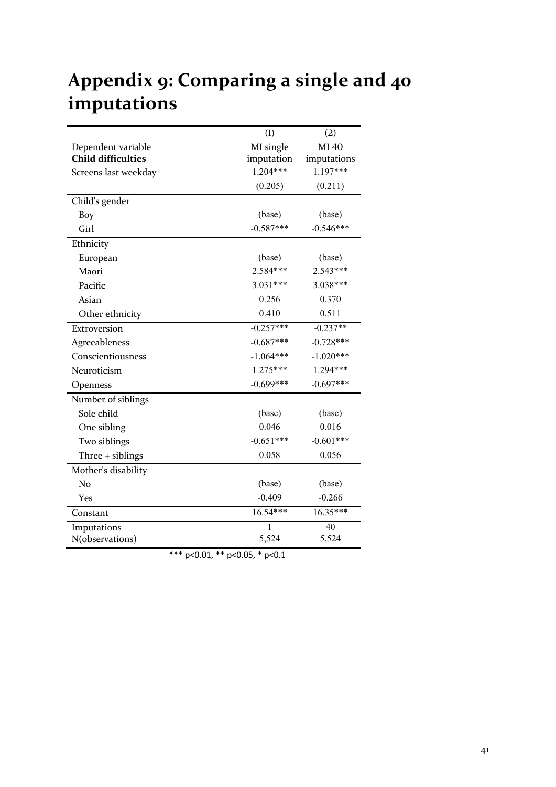# Appendix 9: Comparing a single and 40 imputations

|                           | (1)         | (2)         |
|---------------------------|-------------|-------------|
| Dependent variable        | MI single   | MI 40       |
| <b>Child difficulties</b> | imputation  | imputations |
| Screens last weekday      | $1.204***$  | 1.197***    |
|                           | (0.205)     | (0.211)     |
| Child's gender            |             |             |
| Boy                       | (base)      | (base)      |
| Girl                      | $-0.587***$ | $-0.546***$ |
| Ethnicity                 |             |             |
| European                  | (base)      | (base)      |
| Maori                     | 2.584***    | $2.543***$  |
| Pacific                   | $3.031***$  | 3.038***    |
| Asian                     | 0.256       | 0.370       |
| Other ethnicity           | 0.410       | 0.511       |
| Extroversion              | $-0.257***$ | $-0.237**$  |
| Agreeableness             | $-0.687***$ | $-0.728***$ |
| Conscientiousness         | $-1.064***$ | $-1.020***$ |
| Neuroticism               | 1.275***    | 1.294***    |
| Openness                  | $-0.699***$ | $-0.697***$ |
| Number of siblings        |             |             |
| Sole child                | (base)      | (base)      |
| One sibling               | 0.046       | 0.016       |
| Two siblings              | $-0.651***$ | $-0.601***$ |
| Three + siblings          | 0.058       | 0.056       |
| Mother's disability       |             |             |
| No                        | (base)      | (base)      |
| Yes                       | $-0.409$    | $-0.266$    |
| Constant                  | 16.54***    | 16.35***    |
| Imputations               | 1           | 40          |
| N(observations)           | 5,524       | 5,524       |

\*\*\* p<0.01, \*\* p<0.05, \* p<0.1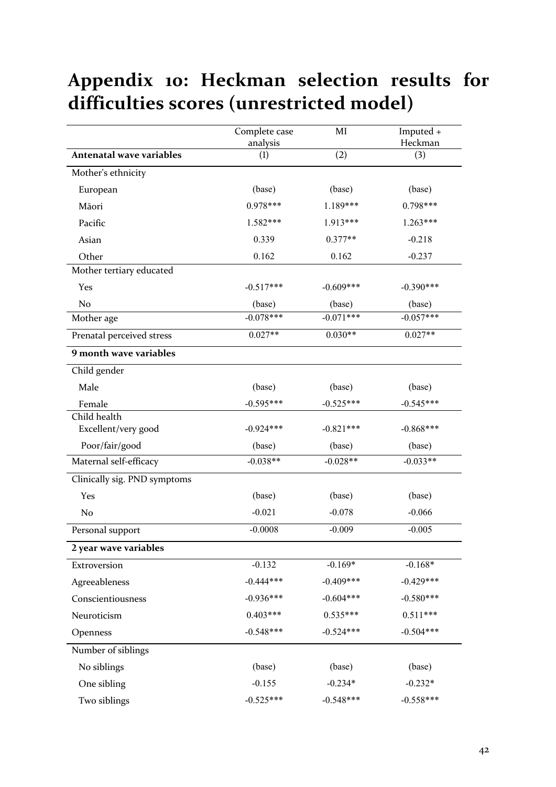# **Appendix 10: Heckman selection results for**  difficulties scores (unrestricted model)

|                                 | Complete case<br>analysis | MI          | Imputed +<br>Heckman |
|---------------------------------|---------------------------|-------------|----------------------|
| <b>Antenatal wave variables</b> | (1)                       | (2)         | (3)                  |
| Mother's ethnicity              |                           |             |                      |
| European                        | (base)                    | (base)      | (base)               |
| Māori                           | $0.978***$                | 1.189***    | $0.798***$           |
| Pacific                         | 1.582***                  | 1.913***    | $1.263***$           |
| Asian                           | 0.339                     | $0.377**$   | $-0.218$             |
| Other                           | 0.162                     | 0.162       | $-0.237$             |
| Mother tertiary educated        |                           |             |                      |
| Yes                             | $-0.517***$               | $-0.609***$ | $-0.390***$          |
| No                              | (base)                    | (base)      | (base)               |
| Mother age                      | $-0.078***$               | $-0.071***$ | $-0.057***$          |
| Prenatal perceived stress       | $0.027**$                 | $0.030**$   | $0.027**$            |
| 9 month wave variables          |                           |             |                      |
| Child gender                    |                           |             |                      |
| Male                            | (base)                    | (base)      | (base)               |
| Female                          | $-0.595***$               | $-0.525***$ | $-0.545***$          |
| Child health                    |                           |             |                      |
| Excellent/very good             | $-0.924***$               | $-0.821***$ | $-0.868***$          |
| Poor/fair/good                  | (base)                    | (base)      | (base)               |
| Maternal self-efficacy          | $-0.038**$                | $-0.028**$  | $-0.033**$           |
| Clinically sig. PND symptoms    |                           |             |                      |
| Yes                             | (base)                    | (base)      | (base)               |
| No                              | $-0.021$                  | $-0.078$    | $-0.066$             |
| Personal support                | $-0.0008$                 | $-0.009$    | $-0.005$             |
| 2 year wave variables           |                           |             |                      |
| Extroversion                    | $-0.132$                  | $-0.169*$   | $-0.168*$            |
| Agreeableness                   | $-0.444***$               | $-0.409***$ | $-0.429***$          |
| Conscientiousness               | $-0.936***$               | $-0.604***$ | $-0.580***$          |
| Neuroticism                     | $0.403***$                | $0.535***$  | $0.511***$           |
| Openness                        | $-0.548***$               | $-0.524***$ | $-0.504***$          |
| Number of siblings              |                           |             |                      |
| No siblings                     | (base)                    | (base)      | (base)               |
| One sibling                     | $-0.155$                  | $-0.234*$   | $-0.232*$            |
| Two siblings                    | $-0.525***$               | $-0.548***$ | $-0.558***$          |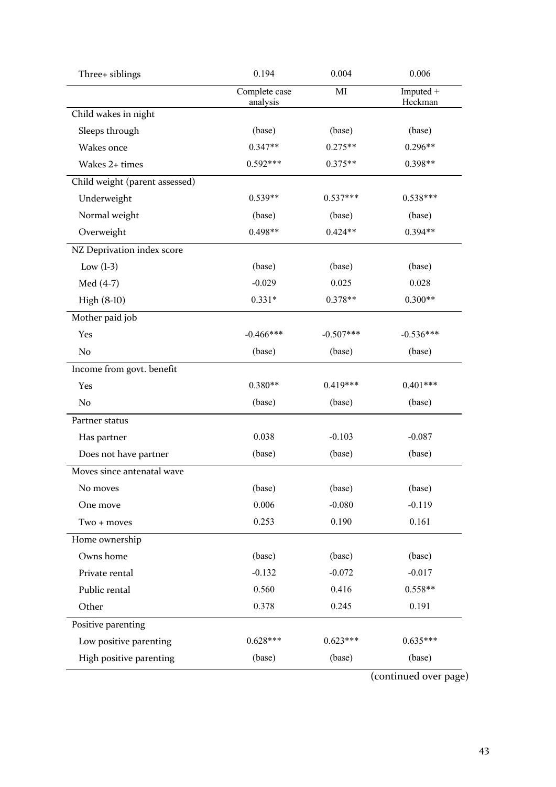| Three+ siblings                | 0.194                     | 0.004       | 0.006                |
|--------------------------------|---------------------------|-------------|----------------------|
|                                | Complete case<br>analysis | MI          | Imputed +<br>Heckman |
| Child wakes in night           |                           |             |                      |
| Sleeps through                 | (base)                    | (base)      | (base)               |
| Wakes once                     | $0.347**$                 | $0.275**$   | $0.296**$            |
| Wakes 2+ times                 | 0.592***                  | $0.375**$   | 0.398**              |
| Child weight (parent assessed) |                           |             |                      |
| Underweight                    | $0.539**$                 | $0.537***$  | $0.538***$           |
| Normal weight                  | (base)                    | (base)      | (base)               |
| Overweight                     | $0.498**$                 | $0.424**$   | 0.394**              |
| NZ Deprivation index score     |                           |             |                      |
| Low $(1-3)$                    | (base)                    | (base)      | (base)               |
| Med $(4-7)$                    | $-0.029$                  | 0.025       | 0.028                |
| High (8-10)                    | $0.331*$                  | $0.378**$   | $0.300**$            |
| Mother paid job                |                           |             |                      |
| Yes                            | $-0.466$ ***              | $-0.507***$ | $-0.536***$          |
| N <sub>o</sub>                 | (base)                    | (base)      | (base)               |
| Income from govt. benefit      |                           |             |                      |
| Yes                            | $0.380**$                 | $0.419***$  | $0.401***$           |
| No                             | (base)                    | (base)      | (base)               |
| Partner status                 |                           |             |                      |
| Has partner                    | 0.038                     | $-0.103$    | $-0.087$             |
| Does not have partner          | (base)                    | (base)      | (base)               |
| Moves since antenatal wave     |                           |             |                      |
| No moves                       | (base)                    | (base)      | (base)               |
| One move                       | 0.006                     | $-0.080$    | $-0.119$             |
| Two + moves                    | 0.253                     | 0.190       | 0.161                |
| Home ownership                 |                           |             |                      |
| Owns home                      | (base)                    | (base)      | (base)               |
| Private rental                 | $-0.132$                  | $-0.072$    | $-0.017$             |
| Public rental                  | 0.560                     | 0.416       | $0.558**$            |
| Other                          | 0.378                     | 0.245       | 0.191                |
| Positive parenting             |                           |             |                      |
| Low positive parenting         | $0.628***$                | $0.623***$  | $0.635***$           |
| High positive parenting        | (base)                    | (base)      | (base)               |
|                                |                           |             |                      |

(continued over page)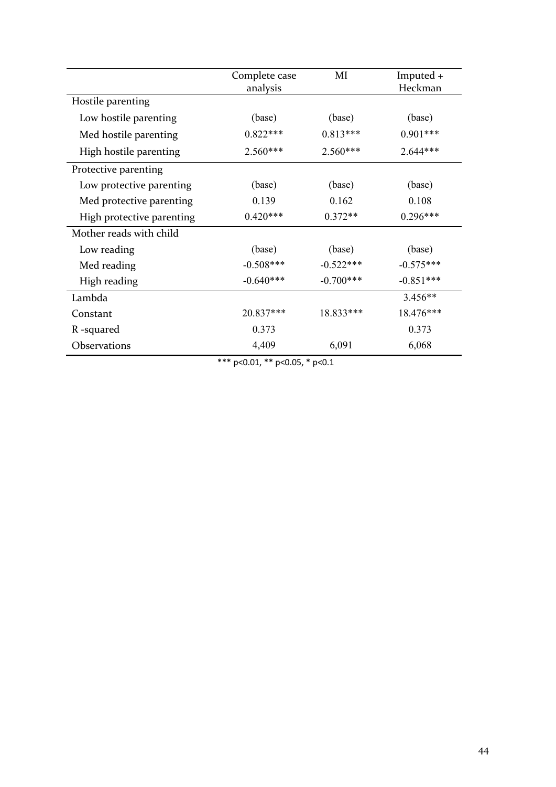|                           | Complete case<br>analysis | MI          | Imputed $+$<br>Heckman |
|---------------------------|---------------------------|-------------|------------------------|
| Hostile parenting         |                           |             |                        |
| Low hostile parenting     | (base)                    | (base)      | (base)                 |
| Med hostile parenting     | $0.822***$                | $0.813***$  | $0.901***$             |
| High hostile parenting    | $2.560***$                | $2.560***$  | 2.644***               |
| Protective parenting      |                           |             |                        |
| Low protective parenting  | (base)                    | (base)      | (base)                 |
| Med protective parenting  | 0.139                     | 0.162       | 0.108                  |
| High protective parenting | $0.420***$                | $0.372**$   | $0.296***$             |
| Mother reads with child   |                           |             |                        |
| Low reading               | (base)                    | (base)      | (base)                 |
| Med reading               | $-0.508***$               | $-0.522***$ | $-0.575***$            |
| High reading              | $-0.640***$               | $-0.700***$ | $-0.851***$            |
| Lambda                    |                           |             | $3.456**$              |
| Constant                  | 20.837***                 | 18.833***   | 18.476***              |
| R-squared                 | 0.373                     |             | 0.373                  |
| Observations              | 4,409                     | 6,091       | 6,068                  |

\*\*\* p<0.01, \*\* p<0.05, \* p<0.1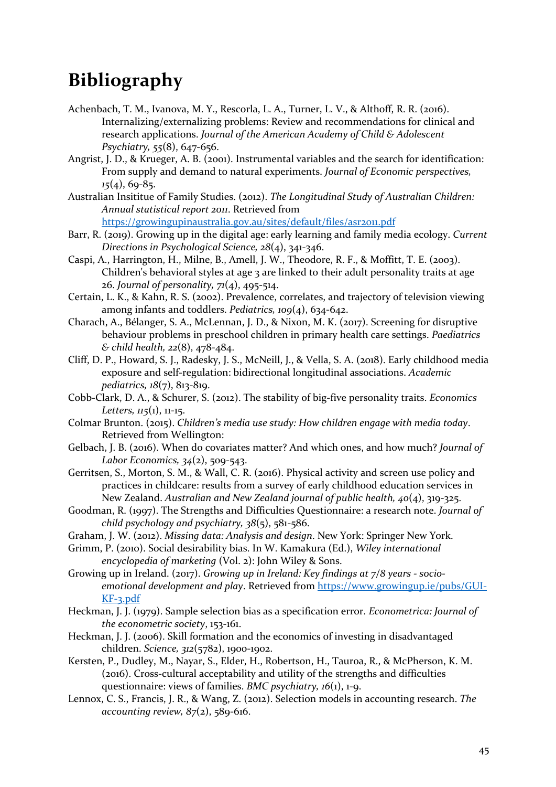## **Bibliography**

- Achenbach, T. M., Ivanova, M. Y., Rescorla, L. A., Turner, L. V., & Althoff, R. R. (2016). Internalizing/externalizing problems: Review and recommendations for clinical and research applications. *Journal of the American Academy of Child & Adolescent Psychiatry, 55*(8), 647-656.
- Angrist, J. D., & Krueger, A. B. (2001). Instrumental variables and the search for identification: From supply and demand to natural experiments. *Journal of Economic perspectives*,  $15(4)$ , 69-85.
- Australian Insititue of Family Studies. (2012). *The Longitudinal Study of Australian Children: Annual statistical report 2011*. Retrieved from https://growingupinaustralia.gov.au/sites/default/files/asr2011.pdf

Barr, R. (2019). Growing up in the digital age: early learning and family media ecology. *Current* 

*Directions in Psychological Science, 28(4), 341-346.* 

- Caspi, A., Harrington, H., Milne, B., Amell, J. W., Theodore, R. F., & Moffitt, T. E. (2003). Children's behavioral styles at age 3 are linked to their adult personality traits at age 26. *Journal of personality*,  $71(4)$ ,  $495-514$ .
- Certain, L. K., & Kahn, R. S. (2002). Prevalence, correlates, and trajectory of television viewing among infants and toddlers. *Pediatrics*, 109(4), 634-642.
- Charach, A., Bélanger, S. A., McLennan, J. D., & Nixon, M. K. (2017). Screening for disruptive behaviour problems in preschool children in primary health care settings. *Paediatrics & child health, 22*(8), 478-484.
- Cliff, D. P., Howard, S. J., Radesky, J. S., McNeill, J., & Vella, S. A. (2018). Early childhood media exposure and self-regulation: bidirectional longitudinal associations. *Academic pediatrics, 18*(7), 813-819.
- Cobb-Clark, D. A., & Schurer, S. (2012). The stability of big-five personality traits. *Economics Letters,*  $115(1)$ ,  $11-15$ .
- Colmar Brunton. (2015). *Children's media use study: How children engage with media today.* Retrieved from Wellington:
- Gelbach, J. B. (2016). When do covariates matter? And which ones, and how much? *Journal of Labor Economics,* 34(2), 509-543.
- Gerritsen, S., Morton, S. M., & Wall, C. R. (2016). Physical activity and screen use policy and practices in childcare: results from a survey of early childhood education services in New Zealand. *Australian and New Zealand journal of public health, 40*(4), 319-325.
- Goodman, R. (1997). The Strengths and Difficulties Questionnaire: a research note. *Journal of child psychology and psychiatry, 38*(5), 581-586.
- Graham, J. W. (2012). *Missing data: Analysis and design*. New York: Springer New York.
- Grimm, P. (2010). Social desirability bias. In W. Kamakura (Ed.), *Wiley international encyclopedia of marketing* (Vol. 2): John Wiley & Sons.

Growing up in Ireland. (2017). *Growing up in Ireland: Key findings at 7/8 years - socioemotional development and play.* Retrieved from https://www.growingup.ie/pubs/GUI-KF-3.pdf

- Heckman, J. J. (1979). Sample selection bias as a specification error. *Econometrica: Journal of* the econometric society, 153-161.
- Heckman, J. J. (2006). Skill formation and the economics of investing in disadvantaged children. *Science, 312*(5782), 1900-1902.
- Kersten, P., Dudley, M., Nayar, S., Elder, H., Robertson, H., Tauroa, R., & McPherson, K. M.  $(2016)$ . Cross-cultural acceptability and utility of the strengths and difficulties questionnaire: views of families. *BMC* psychiatry, 16(1), 1-9.
- Lennox, C. S., Francis, J. R., & Wang, Z. (2012). Selection models in accounting research. *The accounting review,*  $87(2)$ ,  $589-616$ .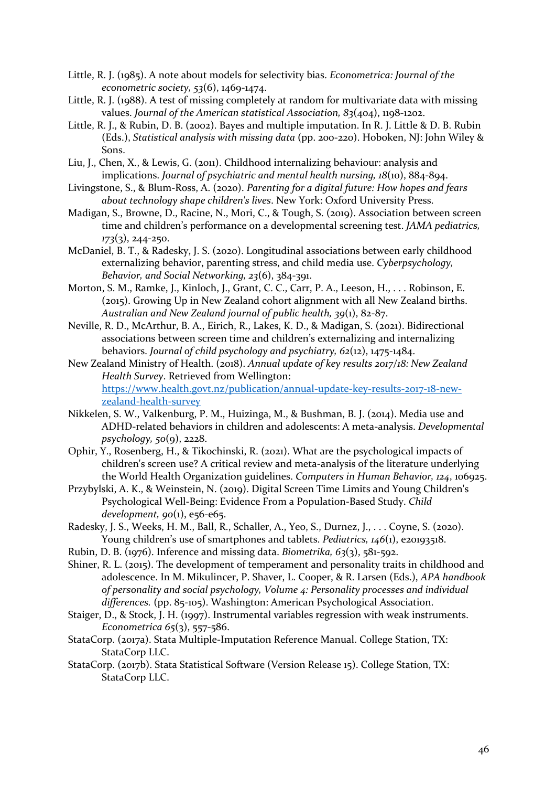- Little, R. J. (1985). A note about models for selectivity bias. *Econometrica: Journal of the econometric society, 53*(6), 1469-1474.
- Little, R. J. (1988). A test of missing completely at random for multivariate data with missing values. *Journal of the American statistical Association*,  $83(404)$ , 1198-1202.
- Little, R. J., & Rubin, D. B. (2002). Bayes and multiple imputation. In R. J. Little & D. B. Rubin (Eds.), *Statistical analysis with missing data* (pp. 200-220). Hoboken, NJ: John Wiley & Sons.
- Liu, J., Chen, X., & Lewis, G. (2011). Childhood internalizing behaviour: analysis and implications. *Journal of psychiatric and mental health nursing, 18*(10), 884-894.
- Livingstone, S., & Blum-Ross, A. (2020). *Parenting for a digital future: How hopes and fears about technology shape children's lives*. New York: Oxford University Press.
- Madigan, S., Browne, D., Racine, N., Mori, C., & Tough, S. (2019). Association between screen time and children's performance on a developmental screening test. *JAMA pediatrics*, *173*(3), 244-250.
- McDaniel, B. T., & Radesky, J. S. (2020). Longitudinal associations between early childhood externalizing behavior, parenting stress, and child media use. *Cyberpsychology*, *Behavior, and Social Networking, 23*(6), 384-391.
- Morton, S. M., Ramke, J., Kinloch, J., Grant, C. C., Carr, P. A., Leeson, H., ... Robinson, E. (2015). Growing Up in New Zealand cohort alignment with all New Zealand births. Australian and New Zealand journal of public health, 39(1), 82-87.
- Neville, R. D., McArthur, B. A., Eirich, R., Lakes, K. D., & Madigan, S. (2021). Bidirectional associations between screen time and children's externalizing and internalizing behaviors. *Journal of child psychology and psychiatry, 62*(12), 1475-1484.
- New Zealand Ministry of Health. (2018). Annual update of key results 2017/18: New Zealand *Health Survey*. Retrieved from Wellington: https://www.health.govt.nz/publication/annual-update-key-results-2017-18-newzealand-health-survey
- Nikkelen, S. W., Valkenburg, P. M., Huizinga, M., & Bushman, B. J. (2014). Media use and ADHD-related behaviors in children and adolescents: A meta-analysis. *Developmental psychology, 50*(9), 2228.
- Ophir, Y., Rosenberg, H., & Tikochinski, R. (2021). What are the psychological impacts of children's screen use? A critical review and meta-analysis of the literature underlying the World Health Organization guidelines. *Computers in Human Behavior*, 124, 106925.
- Przybylski, A. K., & Weinstein, N. (2019). Digital Screen Time Limits and Young Children's Psychological Well-Being: Evidence From a Population-Based Study. *Child development, 90(1), e56-e65.*
- Radesky, J. S., Weeks, H. M., Ball, R., Schaller, A., Yeo, S., Durnez, J., . . . Coyne, S. (2020). Young children's use of smartphones and tablets. *Pediatrics*, 146(1), e20193518.
- Rubin, D. B. (1976). Inference and missing data. *Biometrika*,  $63(3)$ ,  $581-592$ .
- Shiner, R. L.  $(2015)$ . The development of temperament and personality traits in childhood and adolescence. In M. Mikulincer, P. Shaver, L. Cooper, & R. Larsen (Eds.), *APA handbook* of personality and social psychology, Volume 4: Personality processes and individual differences. (pp. 85-105). Washington: American Psychological Association.
- Staiger, D., & Stock, J. H. (1997). Instrumental variables regression with weak instruments. *Econometrica* 65(3), 557-586.
- StataCorp. (2017a). Stata Multiple-Imputation Reference Manual. College Station, TX: StataCorp LLC.
- StataCorp. (2017b). Stata Statistical Software (Version Release 15). College Station, TX: StataCorp LLC.